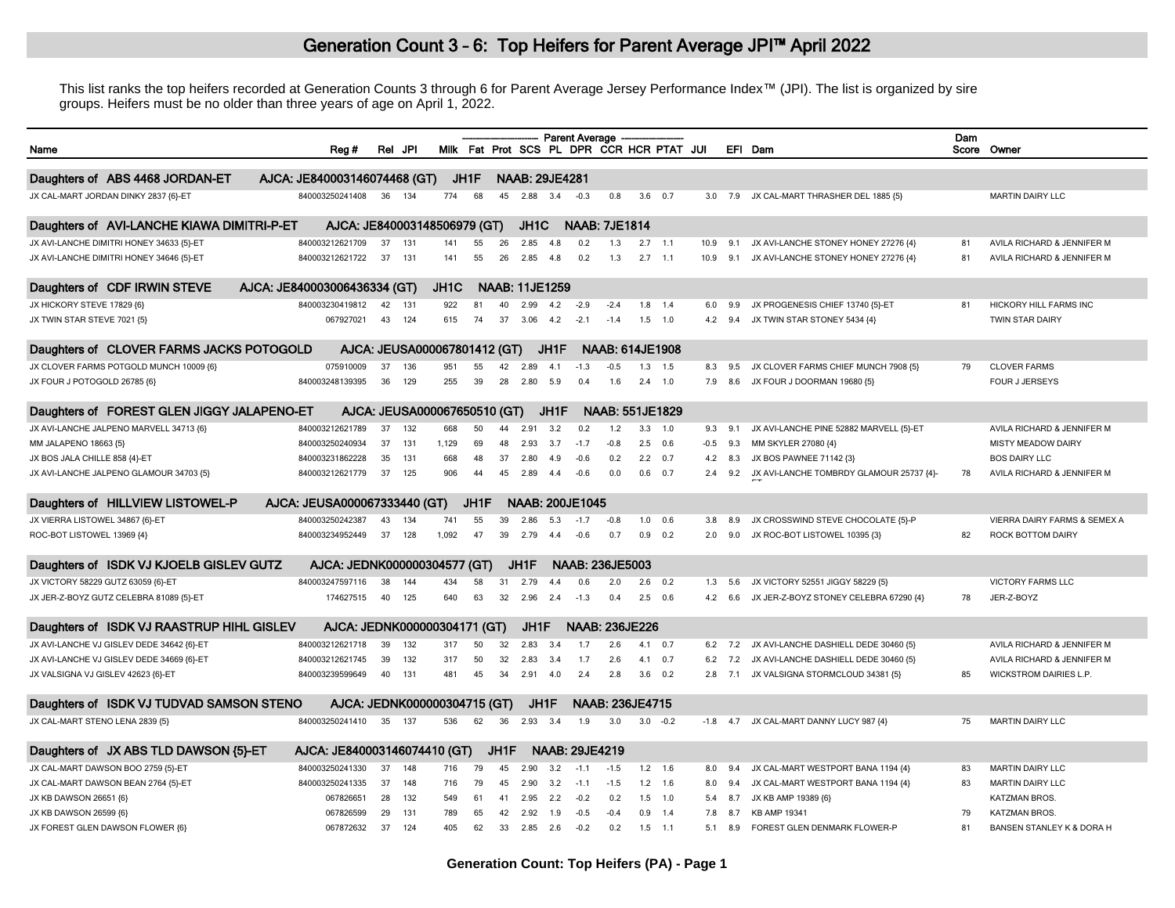## Generation Count 3 - 6: Top Heifers for Parent Average JPI™ April 2022

This list ranks the top heifers recorded at Generation Counts 3 through 6 for Parent Average Jersey Performance Index™ (JPI). The list is organized by sire groups. Heifers must be no older than three years of age on April 1, 2022.

|                                            |                              |    |         |                              |      |      |                       |      | <b>Parent Average</b>                     |                        |           |                 |        |            |                                          | Dam |                               |
|--------------------------------------------|------------------------------|----|---------|------------------------------|------|------|-----------------------|------|-------------------------------------------|------------------------|-----------|-----------------|--------|------------|------------------------------------------|-----|-------------------------------|
| Name                                       | Reg #                        |    | Rel JPI |                              |      |      |                       |      | Milk Fat Prot SCS PL DPR CCR HCR PTAT JUI |                        |           |                 |        |            | EFI Dam                                  |     | Score Owner                   |
|                                            |                              |    |         |                              |      |      |                       |      |                                           |                        |           |                 |        |            |                                          |     |                               |
| Daughters of ABS 4468 JORDAN-ET            | AJCA: JE840003146074468 (GT) |    |         |                              | JH1F |      | <b>NAAB: 29JE4281</b> |      |                                           |                        |           |                 |        |            |                                          |     |                               |
| JX CAL-MART JORDAN DINKY 2837 {6}-ET       | 840003250241408              | 36 | 134     | 774                          | 68   | 45   | 2.88                  | 3.4  | $-0.3$                                    | 0.8                    |           | $3.6\quad 0.7$  | 3.0    | 7.9        | JX CAL-MART THRASHER DEL 1885 {5}        |     | <b>MARTIN DAIRY LLC</b>       |
| Daughters of AVI-LANCHE KIAWA DIMITRI-P-ET | AJCA: JE840003148506979 (GT) |    |         |                              |      |      | JH <sub>1</sub> C     |      | <b>NAAB: 7JE1814</b>                      |                        |           |                 |        |            |                                          |     |                               |
| JX AVI-LANCHE DIMITRI HONEY 34633 {5}-ET   | 840003212621709              | 37 | 131     | 141                          | 55   | 26   | 2.85                  |      | 0.2                                       | 1.3                    | 2.7       | $-1.1$          | 10.9   | 9.1        | JX AVI-LANCHE STONEY HONEY 27276 {4}     | 81  | AVILA RICHARD & JENNIFER M    |
| JX AVI-LANCHE DIMITRI HONEY 34646 {5}-ET   | 840003212621722              | 37 | 131     | 141                          | 55   | 26   | 2.85                  | 4.8  | 0.2                                       | 1.3                    | $2.7$ 1.1 |                 | 10.9   | 9.1        | JX AVI-LANCHE STONEY HONEY 27276 {4}     | 81  | AVILA RICHARD & JENNIFER M    |
| Daughters of CDF IRWIN STEVE               | AJCA: JE840003006436334 (GT) |    |         | JH1C                         |      |      | <b>NAAB: 11JE1259</b> |      |                                           |                        |           |                 |        |            |                                          |     |                               |
| JX HICKORY STEVE 17829 {6}                 | 840003230419812              | 42 | 131     | 922                          | 81   | 40   | 2.99                  | 4.2  | $-2.9$                                    | $-2.4$                 | 1.8       | 1.4             | 6.0    | 9.9        | JX PROGENESIS CHIEF 13740 {5}-ET         | 81  | HICKORY HILL FARMS INC        |
| JX TWIN STAR STEVE 7021 {5}                | 067927021                    | 43 | 124     | 615                          | 74   | 37   | 3.06                  | 4.2  | $-2.1$                                    | $-1.4$                 |           | $1.5$ 1.0       | 4.2    | 9.4        | JX TWIN STAR STONEY 5434 {4}             |     | TWIN STAR DAIRY               |
| Daughters of CLOVER FARMS JACKS POTOGOLD   |                              |    |         | AJCA: JEUSA000067801412 (GT) |      |      |                       | JH1F |                                           | <b>NAAB: 614JE1908</b> |           |                 |        |            |                                          |     |                               |
| JX CLOVER FARMS POTGOLD MUNCH 10009 {6]    | 075910009                    | 37 | 136     | 951                          | 55   | 42   | 2.89                  | 4.1  | $-1.3$                                    | $-0.5$                 | 1.3       | 1.5             | 8.3    | 9.5        | JX CLOVER FARMS CHIEF MUNCH 7908 {5}     | 79  | <b>CLOVER FARMS</b>           |
| JX FOUR J POTOGOLD 26785 {6}               | 840003248139395              | 36 | 129     | 255                          | 39   | 28   | 2.80                  | 5.9  | 0.4                                       | 1.6                    | 2.4       | 1.0             | 7.9    | 8.6        | JX FOUR J DOORMAN 19680 {5}              |     | <b>FOUR J JERSEYS</b>         |
|                                            |                              |    |         |                              |      |      |                       |      |                                           |                        |           |                 |        |            |                                          |     |                               |
| Daughters of FOREST GLEN JIGGY JALAPENO-ET |                              |    |         | AJCA: JEUSA000067650510 (GT) |      |      |                       | JH1F |                                           | <b>NAAB: 551JE1829</b> |           |                 |        |            |                                          |     |                               |
| JX AVI-LANCHE JALPENO MARVELL 34713 {6}    | 840003212621789              | 37 | 132     | 668                          | 50   | 44   | 2.91                  | 3.2  | 0.2                                       | 1.2                    | 3.3       | 1.0             | 9.3    | 9.1        | JX AVI-LANCHE PINE 52882 MARVELL {5}-ET  |     | AVILA RICHARD & JENNIFER M    |
| MM JALAPENO 18663 {5}                      | 840003250240934              | 37 | 131     | 1.129                        | 69   | 48   | 2.93                  | 3.7  | $-1.7$                                    | $-0.8$                 | 2.5       | 0.6             | $-0.5$ | 9.3        | MM SKYLER 27080 {4}                      |     | <b>MISTY MEADOW DAIRY</b>     |
| JX BOS JALA CHILLE 858 {4}-ET              | 840003231862228              | 35 | 131     | 668                          | 48   | 37   | 2.80                  | 4.9  | $-0.6$                                    | 0.2                    | 2.2       | 0.7             | 4.2    | 8.3        | JX BOS PAWNEE 71142 {3}                  |     | <b>BOS DAIRY LLC</b>          |
| JX AVI-LANCHE JALPENO GLAMOUR 34703 {5}    | 840003212621779              | 37 | 125     | 906                          | 44   | 45   | 2.89                  | 4.4  | $-0.6$                                    | 0.0                    |           | $0.6$ 0.7       | 2.4    | 9.2        | JX AVI-LANCHE TOMBRDY GLAMOUR 25737 {4}- | 78  | AVILA RICHARD & JENNIFER M    |
| Daughters of HILLVIEW LISTOWEL-P           | AJCA: JEUSA000067333440 (GT) |    |         |                              | JH1F |      |                       |      | <b>NAAB: 200JE1045</b>                    |                        |           |                 |        |            |                                          |     |                               |
| JX VIERRA LISTOWEL 34867 {6}-ET            | 840003250242387              | 43 | 134     | 741                          | 55   | 39   | 2.86                  | 53   | $-17$                                     | $-0.8$                 |           | $1.0\quad 0.6$  | 3.8    | 8.9        | JX CROSSWIND STEVE CHOCOLATE {5}-P       |     | VIERRA DAIRY FARMS & SEMEX A  |
| ROC-BOT LISTOWEL 13969 {4}                 | 840003234952449              | 37 | 128     | 1.092                        | 47   | 39   | 2.79                  | 44   | $-0.6$                                    | 0.7                    | 0.9       | 0.2             | 2.0    | 9.0        | JX ROC-BOT LISTOWEL 10395 {3}            | 82  | ROCK BOTTOM DAIRY             |
| Daughters of ISDK VJ KJOELB GISLEV GUTZ    | AJCA: JEDNK000000304577 (GT) |    |         |                              |      |      | JH1F                  |      | <b>NAAB: 236JE5003</b>                    |                        |           |                 |        |            |                                          |     |                               |
| JX VICTORY 58229 GUTZ 63059 {6}-ET         | 840003247597116              | 38 | 144     | 434                          | 58   | 31   | 2.79                  | 4.4  | 0.6                                       | 2.0                    | 2.6       | 0.2             | 1.3    | 5.6        | JX VICTORY 52551 JIGGY 58229 {5}         |     | <b>VICTORY FARMS LLC</b>      |
| JX JER-Z-BOYZ GUTZ CELEBRA 81089 {5}-ET    | 174627515                    | 40 | 125     | 640                          | 63   | 32   | 2.96                  | 2.4  | $-1.3$                                    | 0.4                    | 2.5       | 0.6             | 4.2    | 6.6        | JX JER-Z-BOYZ STONEY CELEBRA 67290 {4}   | 78  | JER-Z-BOYZ                    |
| Daughters of ISDK VJ RAASTRUP HIHL GISLEV  | AJCA: JEDNK000000304171 (GT) |    |         |                              |      |      | JH1F                  |      | <b>NAAB: 236JE226</b>                     |                        |           |                 |        |            |                                          |     |                               |
| JX AVI-LANCHE VJ GISLEV DEDE 34642 {6}-ET  | 840003212621718              | 39 | 132     | 317                          | 50   | 32   | 2.83                  | 3.4  | 1.7                                       | 2.6                    |           | $4.1 \quad 0.7$ | 6.2    | 7.2        | JX AVI-LANCHE DASHIELL DEDE 30460 {5}    |     | AVILA RICHARD & JENNIFER M    |
| JX AVI-LANCHE VJ GISLEV DEDE 34669 {6}-ET  | 840003212621745              | 39 | 132     | 317                          | 50   | 32   | 2.83                  | 3.4  | 1.7                                       | 2.6                    | 4.1       | 0.7             | 6.2    | 7.2        | JX AVI-LANCHE DASHIELL DEDE 30460 {5}    |     | AVILA RICHARD & JENNIFER M    |
| JX VALSIGNA VJ GISLEV 42623 {6}-ET         | 840003239599649              | 40 | 131     | 481                          | 45   | 34   | 2.91                  | 4.0  | 2.4                                       | 2.8                    | 3.6       | 0.2             | 2.8    | 7.1        | JX VALSIGNA STORMCLOUD 34381 {5}         | 85  | <b>WICKSTROM DAIRIES L.P.</b> |
| Daughters of ISDK VJ TUDVAD SAMSON STENO   | AJCA: JEDNK000000304715 (GT) |    |         |                              |      |      | JH1F                  |      |                                           | NAAB: 236JE4715        |           |                 |        |            |                                          |     |                               |
| JX CAL-MART STENO LENA 2839 {5}            | 840003250241410              | 35 | 137     | 536                          | 62   | 36   | 2.93                  | 3.4  | 1.9                                       | 3.0                    |           | $3.0 -0.2$      |        | $-1.8$ 4.7 | JX CAL-MART DANNY LUCY 987 {4}           | 75  | <b>MARTIN DAIRY LLC</b>       |
|                                            |                              |    |         |                              |      |      |                       |      |                                           |                        |           |                 |        |            |                                          |     |                               |
| Daughters of JX ABS TLD DAWSON {5}-ET      | AJCA: JE840003146074410 (GT) |    |         |                              |      | JH1F |                       |      | <b>NAAB: 29JE4219</b>                     |                        |           |                 |        |            |                                          |     |                               |
| JX CAL-MART DAWSON BOO 2759 {5}-ET         | 840003250241330              | 37 | 148     | 716                          | 79   | 45   | 2.90                  | 32   | $-11$                                     | $-1.5$                 |           | $1.2$ 1.6       | 8.0    | 9.4        | JX CAL-MART WESTPORT BANA 1194 {4}       | 83  | <b>MARTIN DAIRY LLC</b>       |
| JX CAL-MART DAWSON BEAN 2764 {5}-ET        | 840003250241335              | 37 | 148     | 716                          | 79   | 45   | 2.90                  | 3.2  | $-1.1$                                    | $-1.5$                 |           | $1.2$ 1.6       | 8.0    | 9.4        | JX CAL-MART WESTPORT BANA 1194 {4}       | 83  | <b>MARTIN DAIRY LLC</b>       |
| JX KB DAWSON 26651 {6}                     | 067826651                    | 28 | 132     | 549                          | 61   | 41   | 2.95                  | 2.2  | $-0.2$                                    | 0.2                    |           | $1.5$ 1.0       | 5.4    | 8.7        | JX KB AMP 19389 {6}                      |     | KATZMAN BROS.                 |
| JX KB DAWSON 26599 {6}                     | 067826599                    | 29 | 131     | 789                          | 65   | 42   | 2.92                  | 1.9  | $-0.5$                                    | $-0.4$                 | 0.9       | 1.4             | 7.8    | 8.7        | <b>KB AMP 19341</b>                      | 79  | KATZMAN BROS.                 |
| JX FOREST GLEN DAWSON FLOWER {6}           | 067872632                    | 37 | 124     | 405                          | 62   | 33   | 2.85                  | 2.6  | $-0.2$                                    | 0.2                    | 1.5       | $-1.1$          | 5.1    | 8.9        | FOREST GLEN DENMARK FLOWER-P             | 81  | BANSEN STANLEY K & DORA H     |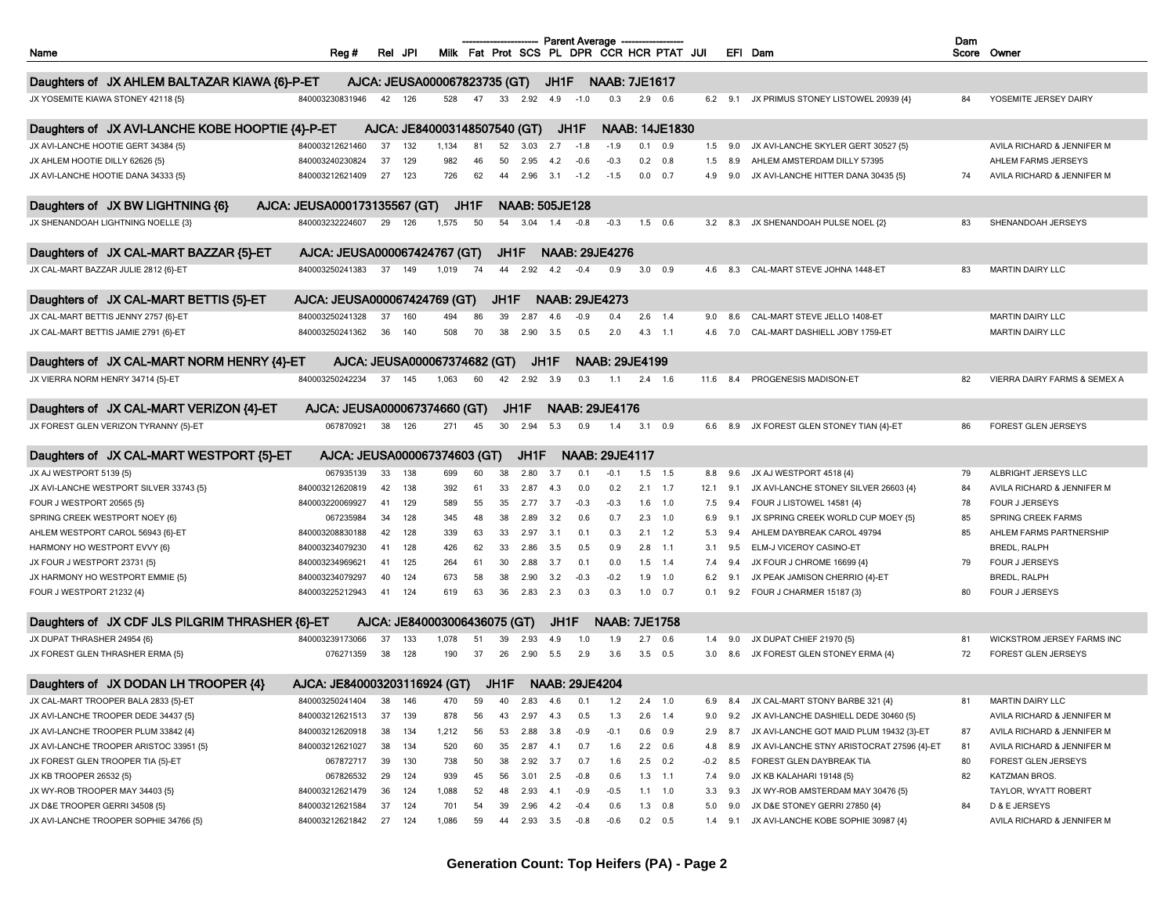|                                                  |                              | Rel JPI |     |                              |      |      |                       |      | <b>Parent Average</b> |                       |     | Milk Fat Prot SCS PL DPR CCR HCR PTAT JUI |        |             |                                            | Dam |                                         |
|--------------------------------------------------|------------------------------|---------|-----|------------------------------|------|------|-----------------------|------|-----------------------|-----------------------|-----|-------------------------------------------|--------|-------------|--------------------------------------------|-----|-----------------------------------------|
| Name                                             | Reg #                        |         |     |                              |      |      |                       |      |                       |                       |     |                                           |        |             | EFI Dam                                    |     | Score Owner                             |
| Daughters of JX AHLEM BALTAZAR KIAWA {6}-P-ET    |                              |         |     | AJCA: JEUSA000067823735 (GT) |      |      |                       | JH1F |                       | <b>NAAB: 7JE1617</b>  |     |                                           |        |             |                                            |     |                                         |
| JX YOSEMITE KIAWA STONEY 42118 {5}               | 840003230831946              | 42      | 126 | 528                          | 47   | 33   | 2.92                  | 4.9  | $-1.0$                | 0.3                   |     | $2.9$ 0.6                                 |        | $6.2$ $9.1$ | JX PRIMUS STONEY LISTOWEL 20939 {4}        | 84  | YOSEMITE JERSEY DAIRY                   |
|                                                  |                              |         |     |                              |      |      |                       |      |                       |                       |     |                                           |        |             |                                            |     |                                         |
| Daughters of JX AVI-LANCHE KOBE HOOPTIE {4}-P-ET |                              |         |     | AJCA: JE840003148507540 (GT) |      |      |                       |      | JH1F                  |                       |     | <b>NAAB: 14JE1830</b>                     |        |             |                                            |     |                                         |
| JX AVI-LANCHE HOOTIE GERT 34384 {5}              | 840003212621460              | 37      | 132 | 1,134                        | 81   | 52   | 3.03                  | 2.7  | $-1.8$                | $-1.9$                | 0.1 | 0.9                                       | 1.5    | 9.0         | JX AVI-LANCHE SKYLER GERT 30527 {5}        |     | AVILA RICHARD & JENNIFER M              |
| JX AHLEM HOOTIE DILLY 62626 {5}                  | 840003240230824              | 37      | 129 | 982                          | 46   | 50   | 2.95                  | 4.2  | $-0.6$                | $-0.3$                |     | 0.2 0.8                                   | 1.5    | 8.9         | AHLEM AMSTERDAM DILLY 57395                |     | AHLEM FARMS JERSEYS                     |
| JX AVI-LANCHE HOOTIE DANA 34333 {5}              | 840003212621409              | 27      | 123 | 726                          | 62   | 44   | 2.96                  | 3.1  | $-1.2$                | $-1.5$                |     | $0.0 \t 0.7$                              | 4.9    | 9.0         | JX AVI-LANCHE HITTER DANA 30435 {5}        | 74  | AVILA RICHARD & JENNIFER M              |
| Daughters of JX BW LIGHTNING {6}                 | AJCA: JEUSA000173135567 (GT) |         |     |                              | JH1F |      | <b>NAAB: 505JE128</b> |      |                       |                       |     |                                           |        |             |                                            |     |                                         |
| JX SHENANDOAH LIGHTNING NOELLE {3}               | 840003232224607              | 29      | 126 | 1,575                        | 50   | 54   | 3.04                  | 1.4  | $-0.8$                | $-0.3$                |     | $1.5$ 0.6                                 | 3.2    | 8.3         | JX SHENANDOAH PULSE NOEL {2}               | 83  | SHENANDOAH JERSEYS                      |
| Daughters of JX CAL-MART BAZZAR {5}-ET           | AJCA: JEUSA000067424767 (GT) |         |     |                              |      | JH1F |                       |      |                       | <b>NAAB: 29JE4276</b> |     |                                           |        |             |                                            |     |                                         |
| JX CAL-MART BAZZAR JULIE 2812 {6}-ET             | 840003250241383              | 37      | 149 | 1,019                        | 74   | 44   | 2.92                  | 4.2  | $-0.4$                | 0.9                   | 3.0 | 0.9                                       | 4.6    | 8.3         | CAL-MART STEVE JOHNA 1448-ET               | 83  | <b>MARTIN DAIRY LLC</b>                 |
|                                                  |                              |         |     |                              |      |      |                       |      |                       |                       |     |                                           |        |             |                                            |     |                                         |
| Daughters of JX CAL-MART BETTIS {5}-ET           | AJCA: JEUSA000067424769 (GT) |         |     |                              |      | JH1F |                       |      |                       | <b>NAAB: 29JE4273</b> |     |                                           |        |             |                                            |     |                                         |
| JX CAL-MART BETTIS JENNY 2757 {6}-ET             | 840003250241328              | 37      | 160 | 494                          |      | 39   | 2.87                  | 4.6  | $-0.9$                | 0.4                   | 2.6 | 1.4                                       | 9.0    | 8.6         | CAL-MART STEVE JELLO 1408-ET               |     | <b>MARTIN DAIRY LLC</b>                 |
| JX CAL-MART BETTIS JAMIE 2791 {6}-ET             | 840003250241362              | 36      | 140 | 508                          | 70   | 38   | 2.90                  | 3.5  | 0.5                   | 2.0                   | 4.3 | $-1.1$                                    | 4.6    | 7.0         | CAL-MART DASHIELL JOBY 1759-ET             |     | <b>MARTIN DAIRY LLC</b>                 |
| Daughters of JX CAL-MART NORM HENRY {4}-ET       | AJCA: JEUSA000067374682 (GT) |         |     |                              |      |      |                       | JH1F |                       | <b>NAAB: 29JE4199</b> |     |                                           |        |             |                                            |     |                                         |
| JX VIERRA NORM HENRY 34714 {5}-ET                | 840003250242234              | 37      | 145 | 1,063                        | 60   | 42   | 2.92                  | 3.9  | 0.3                   | 1.1                   | 2.4 | 1.6                                       | 11.6   | 8.4         | PROGENESIS MADISON-ET                      | 82  | <b>VIERRA DAIRY FARMS &amp; SEMEX A</b> |
|                                                  |                              |         |     |                              |      |      |                       |      |                       |                       |     |                                           |        |             |                                            |     |                                         |
| Daughters of JX CAL-MART VERIZON {4}-ET          | AJCA: JEUSA000067374660 (GT) |         |     |                              |      |      | JH1F                  |      |                       | <b>NAAB: 29JE4176</b> |     |                                           |        |             |                                            |     |                                         |
| JX FOREST GLEN VERIZON TYRANNY {5}-ET            | 067870921                    | 38      | 126 | 271                          | 45   | 30   | 2.94                  | 5.3  | 0.9                   | 1.4                   |     | $3.1\quad 0.9$                            | 6.6    | 8.9         | JX FOREST GLEN STONEY TIAN {4}-ET          | 86  | FOREST GLEN JERSEYS                     |
| Daughters of JX CAL-MART WESTPORT {5}-ET         | AJCA: JEUSA000067374603 (GT) |         |     |                              |      |      | JH1F                  |      |                       | <b>NAAB: 29JE4117</b> |     |                                           |        |             |                                            |     |                                         |
| JX AJ WESTPORT 5139 {5}                          | 067935139                    | 33      | 138 | 699                          | 60   | 38   | 2.80                  | 3.7  | 0.1                   | $-0.1$                | 1.5 | 1.5                                       | 8.8    | 9.6         | JX AJ WESTPORT 4518 {4}                    | 79  | ALBRIGHT JERSEYS LLC                    |
| JX AVI-LANCHE WESTPORT SILVER 33743 {5}          | 840003212620819              | 42      | 138 | 392                          | 61   | 33   | 2.87                  | 4.3  | 0.0                   | 0.2                   |     | $2.1$ 1.7                                 | 12.1   | 9.1         | JX AVI-LANCHE STONEY SILVER 26603 {4}      | 84  | AVILA RICHARD & JENNIFER M              |
| FOUR J WESTPORT 20565 {5}                        | 840003220069927              | 41      | 129 | 589                          | 55   | 35   | 2.77                  | 3.7  | $-0.3$                | $-0.3$                | 1.6 | 1.0                                       | 7.5    | 9.4         | FOUR J LISTOWEL 14581 {4}                  | 78  | FOUR J JERSEYS                          |
| SPRING CREEK WESTPORT NOEY {6}                   | 067235984                    | 34      | 128 | 345                          | 48   | 38   | 2.89                  | 3.2  | 0.6                   | 0.7                   |     | $2.3$ 1.0                                 | 6.9    | 9.1         | JX SPRING CREEK WORLD CUP MOEY {5}         | 85  | SPRING CREEK FARMS                      |
| AHLEM WESTPORT CAROL 56943 {6}-ET                | 840003208830188              | 42      | 128 | 339                          | 63   | 33   | 2.97                  | 3.1  | 0.1                   | 0.3                   |     | $2.1$ 1.2                                 | 5.3    | 9.4         | AHLEM DAYBREAK CAROL 49794                 | 85  | AHLEM FARMS PARTNERSHIP                 |
| HARMONY HO WESTPORT EVVY {6}                     | 840003234079230              | 41      | 128 | 426                          | 62   | 33   | 2.86                  | 3.5  | 0.5                   | 0.9                   | 2.8 | $-1.1$                                    | 3.1    | 9.5         | ELM-J VICEROY CASINO-ET                    |     | <b>BREDL, RALPH</b>                     |
| JX FOUR J WESTPORT 23731 {5}                     | 840003234969621              | 41      | 125 | 264                          | 61   | 30   | 2.88                  | 3.7  | 0.1                   | 0.0                   |     | $1.5$ 1.4                                 | 7.4    | 9.4         | JX FOUR J CHROME 16699 {4}                 | 79  | FOUR J JERSEYS                          |
| JX HARMONY HO WESTPORT EMMIE {5}                 | 840003234079297              | 40      | 124 | 673                          | 58   | 38   | 2.90                  | 3.2  | $-0.3$                | $-0.2$                | 1.9 | 1.0                                       | 6.2    | 9.1         | JX PEAK JAMISON CHERRIO {4}-ET             |     | <b>BREDL, RALPH</b>                     |
| FOUR J WESTPORT 21232 {4}                        | 840003225212943              | 41      | 124 | 619                          | 63   | 36   | 2.83                  | 2.3  | 0.3                   | 0.3                   | 1.0 | 0.7                                       | 0.1    | 9.2         | FOUR J CHARMER 15187 {3}                   | 80  | FOUR J JERSEYS                          |
| Daughters of JX CDF JLS PILGRIM THRASHER {6}-ET  |                              |         |     | AJCA: JE840003006436075 (GT) |      |      |                       | JH1F |                       | <b>NAAB: 7JE1758</b>  |     |                                           |        |             |                                            |     |                                         |
| JX DUPAT THRASHER 24954 {6}                      | 840003239173066              | 37      | 133 | 1,078                        | 51   | 39   | 2.93                  | 4.9  | 1.0                   | 1.9                   | 2.7 | 0.6                                       | 1.4    | 9.0         | JX DUPAT CHIEF 21970 {5}                   | 81  | WICKSTROM JERSEY FARMS INC              |
| JX FOREST GLEN THRASHER ERMA {5}                 | 076271359                    | 38      | 128 | 190                          | 37   | 26   | 2.90                  | 5.5  | 2.9                   | 3.6                   | 3.5 | 0.5                                       | 3.0    | 8.6         | JX FOREST GLEN STONEY ERMA {4}             | 72  | <b>FOREST GLEN JERSEYS</b>              |
|                                                  |                              |         |     |                              |      |      |                       |      |                       |                       |     |                                           |        |             |                                            |     |                                         |
| Daughters of JX DODAN LH TROOPER {4}             | AJCA: JE840003203116924 (GT) |         |     |                              |      | JH1F |                       |      | <b>NAAB: 29JE4204</b> |                       |     |                                           |        |             |                                            |     |                                         |
| JX CAL-MART TROOPER BALA 2833 {5}-ET             | 840003250241404              | 38      | 146 | 470                          | 59   | 40   | 2.83                  | 4.6  | 0.1                   | 1.2                   |     | $2.4$ 1.0                                 | 6.9    | 8.4         | JX CAL-MART STONY BARBE 321 {4}            | 81  | <b>MARTIN DAIRY LLC</b>                 |
| JX AVI-LANCHE TROOPER DEDE 34437 {5}             | 840003212621513              | 37      | 139 | 878                          | 56   | 43   | 2.97                  | 4.3  | 0.5                   | 1.3                   | 2.6 | 1.4                                       | 9.0    | 9.2         | JX AVI-LANCHE DASHIELL DEDE 30460 {5}      |     | AVILA RICHARD & JENNIFER M              |
| JX AVI-LANCHE TROOPER PLUM 33842 {4}             | 840003212620918              | 38      | 134 | 1,212                        | 56   | 53   | 2.88                  | 3.8  | $-0.9$                | $-0.1$                |     | $0.6$ 0.9                                 | 2.9    | 8.7         | JX AVI-LANCHE GOT MAID PLUM 19432 {3}-ET   | 87  | AVILA RICHARD & JENNIFER M              |
| JX AVI-LANCHE TROOPER ARISTOC 33951 {5}          | 840003212621027              | 38      | 134 | 520                          | 60   | 35   | 2.87                  | 4.1  | 0.7                   | 1.6                   |     | $2.2\quad 0.6$                            | 4.8    | 8.9         | JX AVI-LANCHE STNY ARISTOCRAT 27596 {4}-ET | 81  | AVILA RICHARD & JENNIFER M              |
| JX FOREST GLEN TROOPER TIA {5}-ET                | 067872717                    | 39      | 130 | 738                          | 50   | 38   | 2.92                  | 3.7  | 0.7                   | 1.6                   |     | $2.5$ 0.2                                 | $-0.2$ | 8.5         | FOREST GLEN DAYBREAK TIA                   | 80  | <b>FOREST GLEN JERSEYS</b>              |
| JX KB TROOPER 26532 {5}                          | 067826532                    | 29      | 124 | 939                          | 45   | 56   | 3.01                  | 2.5  | $-0.8$                | 0.6                   |     | $1.3$ 1.1                                 | 7.4    | 9.0         | JX KB KALAHARI 19148 {5}                   | 82  | KATZMAN BROS.                           |
| JX WY-ROB TROOPER MAY 34403 {5}                  | 840003212621479              | 36      | 124 | 1,088                        | 52   | 48   | 2.93                  | 4.1  | $-0.9$                | $-0.5$                |     | $1.1$ $1.0$                               | 3.3    | 9.3         | JX WY-ROB AMSTERDAM MAY 30476 {5}          |     | TAYLOR, WYATT ROBERT                    |
| JX D&E TROOPER GERRI 34508 {5}                   | 840003212621584              | 37      | 124 | 701                          | 54   | 39   | 2.96                  | 4.2  | $-0.4$                | 0.6                   |     | $1.3$ 0.8                                 | 5.0    | 9.0         | JX D&E STONEY GERRI 27850 {4}              | 84  | D & E JERSEYS                           |
| JX AVI-LANCHE TROOPER SOPHIE 34766 {5}           | 840003212621842              | 27      | 124 | 1,086                        | 59   | 44   | 2.93 3.5              |      | $-0.8$                | $-0.6$                |     | $0.2\quad 0.5$                            | 1.4    | 9.1         | JX AVI-LANCHE KOBE SOPHIE 30987 {4}        |     | AVILA RICHARD & JENNIFER M              |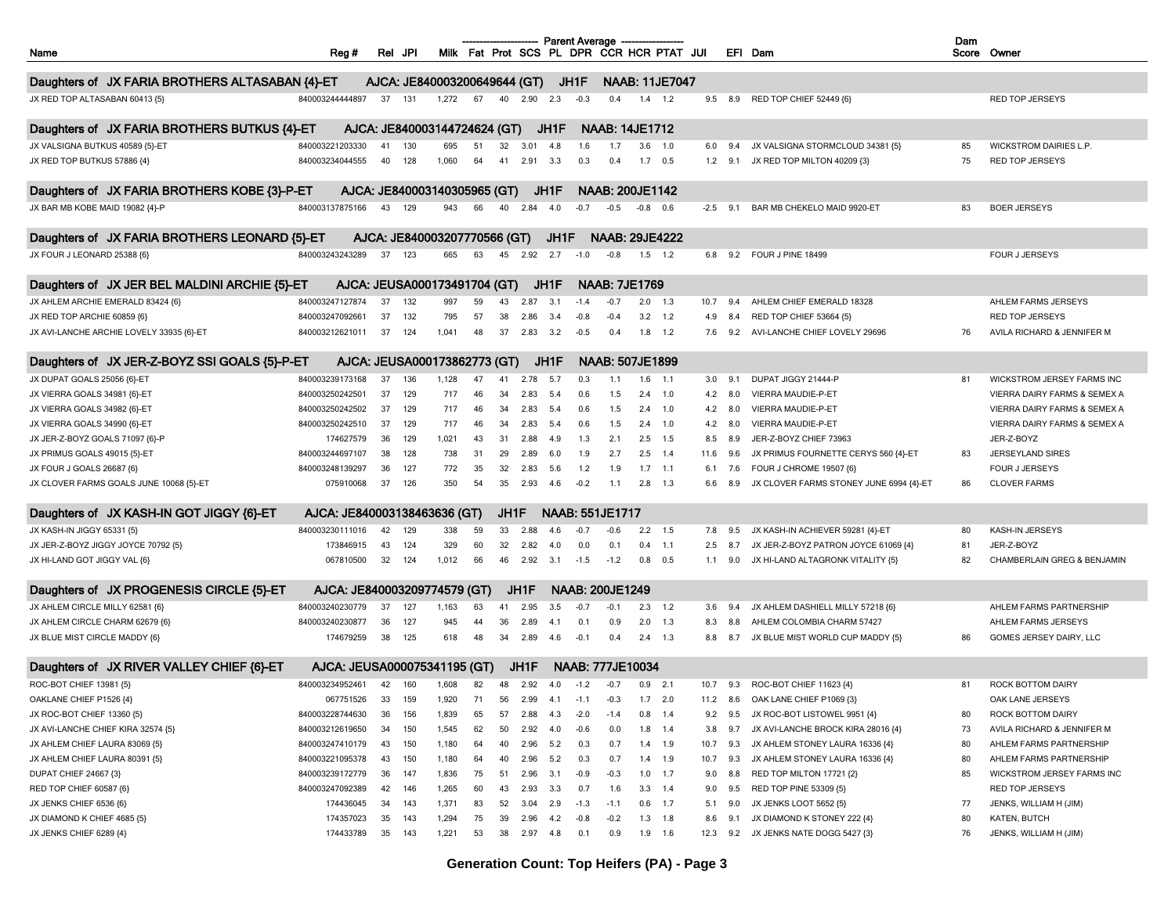| Name                                            | Reg#                         | Rei JPI |     |                              |    |      |            |      | Parent Average<br>Milk Fat Prot SCS PL DPR CCR HCR PTAT JUI |                        |           |                       |      |            | EFI Dam                                 | Dam<br>Score Owner |                               |
|-------------------------------------------------|------------------------------|---------|-----|------------------------------|----|------|------------|------|-------------------------------------------------------------|------------------------|-----------|-----------------------|------|------------|-----------------------------------------|--------------------|-------------------------------|
|                                                 |                              |         |     |                              |    |      |            |      |                                                             |                        |           |                       |      |            |                                         |                    |                               |
| Daughters of JX FARIA BROTHERS ALTASABAN {4}-ET |                              |         |     | AJCA: JE840003200649644 (GT) |    |      |            |      | JH1F                                                        |                        |           | <b>NAAB: 11JE7047</b> |      |            |                                         |                    |                               |
| JX RED TOP ALTASABAN 60413 {5}                  | 840003244444897              | 37      | 131 | 1,272                        | 67 | 40   | 2.90       | 2.3  | $-0.3$                                                      | 0.4                    | 1.4       | 1.2                   | 9.5  | 8.9        | RED TOP CHIEF 52449 {6}                 |                    | <b>RED TOP JERSEYS</b>        |
|                                                 |                              |         |     |                              |    |      |            |      |                                                             |                        |           |                       |      |            |                                         |                    |                               |
| Daughters of JX FARIA BROTHERS BUTKUS {4}-ET    |                              |         |     | AJCA: JE840003144724624 (GT) |    |      |            | JH1F |                                                             | <b>NAAB: 14JE1712</b>  |           |                       |      |            |                                         |                    |                               |
| JX VALSIGNA BUTKUS 40589 {5}-ET                 | 840003221203330              | 41      | 130 | 695                          | 51 | 32   | 3.01       | 4.8  | 1.6                                                         | 1.7                    | 3.6       | 1.0                   | 6.0  | 9.4        | JX VALSIGNA STORMCLOUD 34381 {5}        | 85                 | <b>WICKSTROM DAIRIES L.P.</b> |
| JX RED TOP BUTKUS 57886 {4}                     | 840003234044555              | 40      | 128 | 1,060                        | 64 | 41   | 2.91       | 3.3  | 0.3                                                         | 0.4                    | 1.7       | 0.5                   | 1.2  | 9.1        | JX RED TOP MILTON 40209 {3}             | 75                 | RED TOP JERSEYS               |
| Daughters of JX FARIA BROTHERS KOBE {3}-P-ET    |                              |         |     | AJCA: JE840003140305965 (GT) |    |      |            | JH1F |                                                             | <b>NAAB: 200JE1142</b> |           |                       |      |            |                                         |                    |                               |
| JX BAR MB KOBE MAID 19082 {4}-P                 | 840003137875166              | 43      | 129 | 943                          | 66 | 40   | 2.84       | 4.0  | $-0.7$                                                      | $-0.5$                 | $-0.8$    | 0.6                   |      | $-2.5$ 9.1 | BAR MB CHEKELO MAID 9920-ET             | 83                 | <b>BOER JERSEYS</b>           |
| Daughters of JX FARIA BROTHERS LEONARD {5}-ET   |                              |         |     | AJCA: JE840003207770566 (GT) |    |      |            | JH1F |                                                             | <b>NAAB: 29JE4222</b>  |           |                       |      |            |                                         |                    |                               |
| JX FOUR J LEONARD 25388 {6}                     | 840003243243289              | 37      | 123 | 665                          | 63 | 45   | 2.92       | 2.7  | $-1.0$                                                      | $-0.8$                 | 1.5       | 1.2                   | 6.8  | 9.2        | FOUR J PINE 18499                       |                    | FOUR J JERSEYS                |
|                                                 |                              |         |     |                              |    |      |            |      |                                                             |                        |           |                       |      |            |                                         |                    |                               |
| Daughters of JX JER BEL MALDINI ARCHIE {5}-ET   |                              |         |     | AJCA: JEUSA000173491704 (GT) |    |      |            | JH1F |                                                             | <b>NAAB: 7JE1769</b>   |           |                       |      |            |                                         |                    |                               |
| JX AHLEM ARCHIE EMERALD 83424 {6}               | 840003247127874              | 37      | 132 | 997                          | 59 | 43   | 2.87       | 3.1  | $-1.4$                                                      | $-0.7$                 | 2.0       | 1.3                   | 10.7 | 9.4        | AHLEM CHIEF EMERALD 18328               |                    | AHLEM FARMS JERSEYS           |
| JX RED TOP ARCHIE 60859 {6}                     | 840003247092661              | 37      | 132 | 795                          | 57 | 38   | 2.86       | 3.4  | $-0.8$                                                      | $-0.4$                 | 3.2       | 1.2                   | 4.9  | 8.4        | RED TOP CHIEF 53664 {5}                 |                    | <b>RED TOP JERSEYS</b>        |
| JX AVI-LANCHE ARCHIE LOVELY 33935 {6}-ET        | 840003212621011              | 37      | 124 | 1,041                        | 48 | 37   | 2.83       | 3.2  | $-0.5$                                                      | 0.4                    | $1.8$ 1.2 |                       | 7.6  | 9.2        | AVI-LANCHE CHIEF LOVELY 29696           | 76                 | AVILA RICHARD & JENNIFER M    |
| Daughters of JX JER-Z-BOYZ SSI GOALS {5}-P-ET   |                              |         |     | AJCA: JEUSA000173862773 (GT) |    |      |            | JH1F |                                                             | <b>NAAB: 507JE1899</b> |           |                       |      |            |                                         |                    |                               |
| JX DUPAT GOALS 25056 {6}-ET                     | 840003239173168              | 37      | 136 | 1,128                        | 47 | 41   | 2.78       | 5.7  | 0.3                                                         | 1.1                    | 1.6       | 1.1                   | 3.0  | 9.1        | DUPAT JIGGY 21444-P                     | 81                 | WICKSTROM JERSEY FARMS INC    |
| JX VIERRA GOALS 34981 {6}-ET                    | 840003250242501              | 37      | 129 | 717                          | 46 | 34   | 2.83       | 5.4  | 0.6                                                         | 1.5                    | 2.4       | 1.0                   | 4.2  | 8.0        | VIERRA MAUDIE-P-ET                      |                    | VIERRA DAIRY FARMS & SEMEX A  |
| JX VIERRA GOALS 34982 {6}-ET                    | 840003250242502              | 37      | 129 | 717                          | 46 | 34   | 2.83       | 5.4  | 0.6                                                         | 1.5                    | 2.4       | 1.0                   | 4.2  | 8.0        | VIERRA MAUDIE-P-ET                      |                    | VIERRA DAIRY FARMS & SEMEX A  |
| JX VIERRA GOALS 34990 {6}-ET                    | 840003250242510              | 37      | 129 | 717                          | 46 | 34   | 2.83       | 5.4  | 0.6                                                         | 1.5                    | 2.4       | 1.0                   | 4.2  | 8.0        | VIERRA MAUDIE-P-ET                      |                    | VIERRA DAIRY FARMS & SEMEX A  |
| JX JER-Z-BOYZ GOALS 71097 {6}-P                 | 174627579                    | 36      | 129 | 1,021                        | 43 | 31   | 2.88       | 4.9  | 1.3                                                         | 2.1                    | 2.5       | 1.5                   | 8.5  | 8.9        | JER-Z-BOYZ CHIEF 73963                  |                    | JER-Z-BOYZ                    |
| JX PRIMUS GOALS 49015 {5}-ET                    | 840003244697107              | 38      | 128 | 738                          | 31 | 29   | 2.89       | 6.0  | 1.9                                                         | 2.7                    | 2.5       | 1.4                   | 11.6 | 9.6        | JX PRIMUS FOURNETTE CERYS 560 {4}-ET    | 83                 | JERSEYLAND SIRES              |
| JX FOUR J GOALS 26687 {6}                       | 840003248139297              | 36      | 127 | 772                          | 35 | 32   | 2.83       | 5.6  | 1.2                                                         | 1.9                    | 1.7       | 1.1                   | 6.1  | 7.6        | FOUR J CHROME 19507 {6}                 |                    | <b>FOUR J JERSEYS</b>         |
| JX CLOVER FARMS GOALS JUNE 10068 {5}-ET         | 075910068                    | 37      | 126 | 350                          | 54 | 35   | 2.93       | 4.6  | $-0.2$                                                      | 1.1                    | $2.8$ 1.3 |                       | 6.6  | 8.9        | JX CLOVER FARMS STONEY JUNE 6994 {4}-ET | 86                 | <b>CLOVER FARMS</b>           |
|                                                 |                              |         |     |                              |    |      |            |      |                                                             |                        |           |                       |      |            |                                         |                    |                               |
| Daughters of JX KASH-IN GOT JIGGY {6}-ET        | AJCA: JE840003138463636 (GT) |         |     |                              |    | JH1F |            |      | NAAB: 551JE1717                                             |                        |           |                       |      |            |                                         |                    |                               |
| JX KASH-IN JIGGY 65331 {5}                      | 840003230111016              | 42      | 129 | 338                          | 59 | 33   | 2.88       | 4.6  | $-0.7$                                                      | $-0.6$                 | $2.2$ 1.5 |                       | 7.8  | 9.5        | JX KASH-IN ACHIEVER 59281 {4}-ET        | 80                 | KASH-IN JERSEYS               |
| JX JER-Z-BOYZ JIGGY JOYCE 70792 {5}             | 173846915                    | 43      | 124 | 329                          | 60 | 32   | 2.82       | 4.0  | 0.0                                                         | 0.1                    | 0.4       | 1.1                   | 2.5  | 8.7        | JX JER-Z-BOYZ PATRON JOYCE 61069 {4}    | 81                 | JER-Z-BOYZ                    |
| JX HI-LAND GOT JIGGY VAL {6}                    | 067810500                    | 32      | 124 | 1,012                        | 66 | 46   | 2.92       | 3.1  | $-1.5$                                                      | $-1.2$                 | 0.8       | 0.5                   | 1.1  | 9.0        | JX HI-LAND ALTAGRONK VITALITY {5}       | 82                 | CHAMBERLAIN GREG & BENJAMIN   |
| Daughters of JX PROGENESIS CIRCLE {5}-ET        | AJCA: JE840003209774579 (GT) |         |     |                              |    |      | JH1F       |      | <b>NAAB: 200JE1249</b>                                      |                        |           |                       |      |            |                                         |                    |                               |
| JX AHLEM CIRCLE MILLY 62581 {6}                 | 840003240230779              | 37      | 127 | 1,163                        | 63 | 41   | 2.95       | 3.5  | $-0.7$                                                      | $-0.1$                 | 2.3       | 1.2                   | 3.6  | 9.4        | JX AHLEM DASHIELL MILLY 57218 {6}       |                    | AHLEM FARMS PARTNERSHIP       |
| JX AHLEM CIRCLE CHARM 62679 {6}                 | 840003240230877              | 36      | 127 | 945                          | 44 | 36   | 2.89       | 4.1  | 0.1                                                         | 0.9                    | 2.0       | 1.3                   | 8.3  | 8.8        | AHLEM COLOMBIA CHARM 57427              |                    | AHLEM FARMS JERSEYS           |
| JX BLUE MIST CIRCLE MADDY {6}                   | 174679259                    | 38      | 125 | 618                          | 48 | 34   | 2.89       | 4.6  | $-0.1$                                                      | 0.4                    | 2.4       | 1.3                   | 8.8  | 8.7        | JX BLUE MIST WORLD CUP MADDY {5}        | 86                 | GOMES JERSEY DAIRY, LLC       |
| Daughters of JX RIVER VALLEY CHIEF {6}-ET       | AJCA: JEUSA000075341195 (GT) |         |     |                              |    |      | JH1F       |      | <b>NAAB: 777JE10034</b>                                     |                        |           |                       |      |            |                                         |                    |                               |
| ROC-BOT CHIEF 13981 {5}                         | 840003234952461              | 42      | 160 | 1,608                        | 82 | 48   | 2.92       | 4.0  | $-1.2$                                                      | $-0.7$                 | 0.9       | 2.1                   | 10.7 | 9.3        | ROC-BOT CHIEF 11623 {4}                 | 81                 | ROCK BOTTOM DAIRY             |
| OAKLANE CHIEF P1526 {4}                         | 067751526                    | 33      | 159 | 1,920                        | 71 | 56   | $2.99$ 4.1 |      | $-1.1$                                                      | $-0.3$                 | $1.7$ 2.0 |                       |      |            | 11.2 8.6 OAK LANE CHIEF P1069 (3)       |                    | OAK LANE JERSEYS              |
| JX ROC-BOT CHIEF 13360 {5}                      | 840003228744630              | 36      | 156 | 1,839                        | 65 | 57   | 2.88       | 4.3  | $-2.0$                                                      | $-1.4$                 | 0.8       | 1.4                   | 9.2  | 9.5        | JX ROC-BOT LISTOWEL 9951 {4}            | 80                 | ROCK BOTTOM DAIRY             |
| JX AVI-LANCHE CHIEF KIRA 32574 {5}              | 840003212619650              | 34      | 150 | 1,545                        | 62 | 50   | 2.92       | 4.0  | $-0.6$                                                      | 0.0                    | 1.8       | 1.4                   | 3.8  | 9.7        | JX AVI-LANCHE BROCK KIRA 28016 {4}      | 73                 | AVILA RICHARD & JENNIFER M    |
| JX AHLEM CHIEF LAURA 83069 {5}                  | 840003247410179              | 43      | 150 | 1,180                        | 64 | 40   | 2.96       | 5.2  | 0.3                                                         | 0.7                    | $1.4$ 1.9 |                       | 10.7 | 9.3        | JX AHLEM STONEY LAURA 16336 {4}         | 80                 | AHLEM FARMS PARTNERSHIP       |
| JX AHLEM CHIEF LAURA 80391 {5}                  | 840003221095378              | 43      | 150 | 1,180                        | 64 | 40   | 2.96       | 5.2  | 0.3                                                         | 0.7                    | $1.4$ 1.9 |                       | 10.7 | 9.3        | JX AHLEM STONEY LAURA 16336 {4}         | 80                 | AHLEM FARMS PARTNERSHIP       |
| DUPAT CHIEF 24667 {3}                           | 840003239172779              | 36      | 147 | 1,836                        | 75 | 51   | 2.96       | 3.1  | $-0.9$                                                      | $-0.3$                 | 1.0       | 1.7                   | 9.0  | 8.8        | RED TOP MILTON 17721 {2}                | 85                 | WICKSTROM JERSEY FARMS INC    |
| RED TOP CHIEF 60587 {6}                         | 840003247092389              | 42      | 146 | 1,265                        | 60 | 43   | 2.93       | 3.3  | 0.7                                                         | 1.6                    | 3.3       | 1.4                   | 9.0  | 9.5        | RED TOP PINE 53309 {5}                  |                    | RED TOP JERSEYS               |
| JX JENKS CHIEF 6536 {6}                         | 174436045                    | -34     | 143 | 1,371                        | 83 | 52   | 3.04       | 2.9  | $-1.3$                                                      | $-1.1$                 | $0.6$ 1.7 |                       | 5.1  | 9.0        | JX JENKS LOOT 5652 {5}                  | 77                 | JENKS, WILLIAM H (JIM)        |
| JX DIAMOND K CHIEF 4685 {5}                     | 174357023                    | 35      | 143 | 1,294                        | 75 | 39   | 2.96       | 4.2  | $-0.8$                                                      | $-0.2$                 | 1.3       | 1.8                   | 8.6  | 9.1        | JX DIAMOND K STONEY 222 {4}             | 80                 | KATEN, BUTCH                  |
| JX JENKS CHIEF 6289 {4}                         | 174433789                    | 35      | 143 | 1,221                        | 53 | 38   | 2.97 4.8   |      | 0.1                                                         | 0.9                    | 1.9       | 1.6                   | 12.3 | 9.2        | JX JENKS NATE DOGG 5427 {3}             | 76                 | JENKS, WILLIAM H (JIM)        |

**Generation Count: Top Heifers (PA) - Page 3**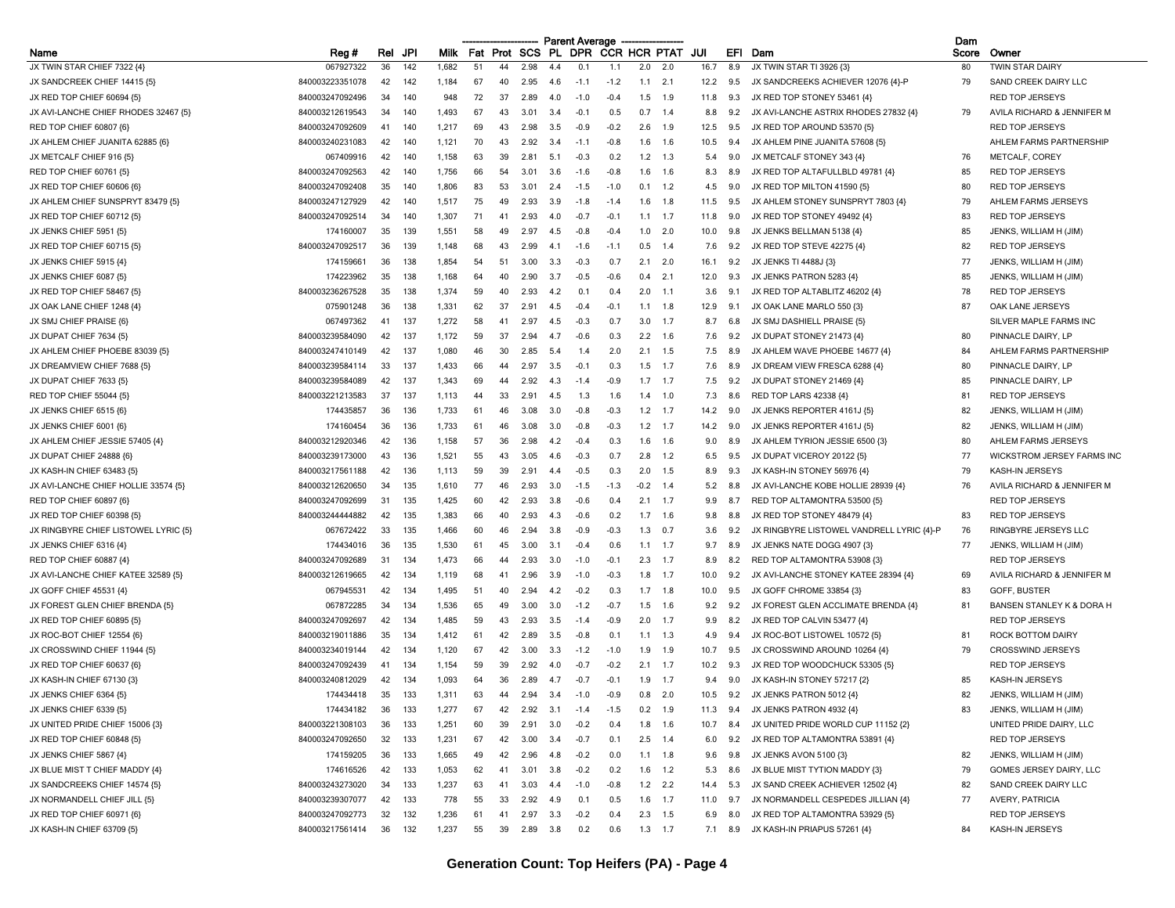|                                      |                 |     |     |             |     |                |               |      | <b>Parent Average</b> |                     |        |           |      |                |                                           | Dam   |                                      |
|--------------------------------------|-----------------|-----|-----|-------------|-----|----------------|---------------|------|-----------------------|---------------------|--------|-----------|------|----------------|-------------------------------------------|-------|--------------------------------------|
| Name                                 | Reg #           | Rel | JPI | <b>Milk</b> | Fat |                | Prot SCS      | PL.  | <b>DPR</b>            | <b>CCR HCR PTAT</b> |        |           | JUI  |                | EFI Dam                                   | Score | Owner                                |
| JX TWIN STAR CHIEF 7322 {4}          | 067927322       | 36  | 142 | 1,682       | 51  | 44             | 2.98          | 4.4  | 0.1                   | 1.1                 | 2.0    | 2.0       | 16.7 | 8.9            | JX TWIN STAR TI 3926 {3}                  | 80    | <b>TWIN STAR DAIRY</b>               |
| JX SANDCREEK CHIEF 14415 {5}         | 840003223351078 | 42  | 142 | 1,184       | 67  | 40             | 2.95          | 4.6  | $-1.1$                | $-1.2$              | 1.1    | 2.1       | 12.2 | 9.5            | JX SANDCREEKS ACHIEVER 12076 {4}-P        | 79    | SAND CREEK DAIRY LLC                 |
| JX RED TOP CHIEF 60694 {5}           | 840003247092496 | 34  | 140 | 948         | 72  | 37             | 2.89          | -4.0 | $-10$                 | $-0.4$              | 1.5    | 1.9       | 11.8 | 9.3            | JX RED TOP STONEY 53461 {4}               |       | <b>RED TOP JERSEYS</b>               |
| JX AVI-LANCHE CHIEF RHODES 32467 {5} | 840003212619543 | 34  | 140 | 1,493       | 67  | 43             | 3.01          | 3.4  | $-0.7$                | 0.5                 | 0.7    | 1.4       | 8.8  | 9.2            | JX AVI-LANCHE ASTRIX RHODES 27832 {4}     | 79    | AVILA RICHARD & JENNIFER M           |
| RED TOP CHIEF 60807 {6}              | 840003247092609 | 41  | 140 | 1,217       | 69  | 43             | 2.98          | 3.5  | $-0.9$                | $-0.2$              | 2.6    | 1.9       | 12.5 | 9.5            | JX RED TOP AROUND 53570 (5)               |       | <b>RED TOP JERSEYS</b>               |
| JX AHLEM CHIEF JUANITA 62885 {6}     | 840003240231083 | 42  | 140 | 1,121       | 70  | 43             | 2.92          | -3.4 | $-1.1$                | $-0.8$              | 1.6    | 1.6       | 10.5 | 9.4            | JX AHLEM PINE JUANITA 57608 {5}           |       | AHLEM FARMS PARTNERSHIP              |
| JX METCALF CHIEF 916 {5}             | 067409916       | 42  | 140 | 1,158       | 63  | 39             | 2.81          | 5.1  | $-0.3$                | 0.2                 | 1.2    | 1.3       | 5.4  | 9.0            | JX METCALF STONEY 343 {4}                 | 76    | METCALF, COREY                       |
| RED TOP CHIEF 60761 {5}              | 840003247092563 | 42  | 140 | 1,756       | 66  | 54             | 3.01          | 3.6  | $-1.6$                | $-0.8$              | 1.6    | 1.6       | 8.3  | 8.9            | JX RED TOP ALTAFULLBLD 49781 {4}          | 85    | <b>RED TOP JERSEYS</b>               |
| JX RED TOP CHIEF 60606 {6}           | 840003247092408 | 35  | 140 | 1,806       | 83  | 53             | $3.0^{\circ}$ | 2.4  | $-1.5$                | $-1.0$              | 0.     | 1.2       | 4.5  | 9.0            | JX RED TOP MILTON 41590 {5}               | 80    | <b>RED TOP JERSEYS</b>               |
| JX AHLEM CHIEF SUNSPRYT 83479 (5)    | 840003247127929 | 42  | 140 | 1,517       | 75  | 49             | 2.93          | 3.9  | $-1.8$                | $-1.4$              | 1.6    | 1.8       | 11.5 | 9.5            | JX AHLEM STONEY SUNSPRYT 7803 {4}         | 79    | AHLEM FARMS JERSEYS                  |
| JX RED TOP CHIEF 60712 {5}           | 840003247092514 | 34  | 140 | 1,307       | 71  | $\mathbf{A}$   | 2.93          | 4.0  | $-0.7$                | $-0.1$              | 1.1    | 1.7       | 11.8 | 9.0            | JX RED TOP STONEY 49492 {4}               | 83    | <b>RED TOP JERSEYS</b>               |
| JX JENKS CHIEF 5951 {5}              | 174160007       | 35  | 139 | 1,551       | 58  | 4 <sup>c</sup> | 2.97          | 4.5  | $-0.8$                | $-0.4$              | 1.0    | 2.0       | 10.0 |                | JX JENKS BELLMAN 5138 {4}                 | 85    | JENKS, WILLIAM H (JIM)               |
| JX RED TOP CHIEF 60715 {5}           | 840003247092517 | 36  | 139 | 1,148       | 68  | 43             | 2.99          | 4.1  | $-1.6$                | $-1.1$              | 0.5    | 1.4       | 7.6  | 9.2            | JX RED TOP STEVE 42275 {4}                | 82    | <b>RED TOP JERSEYS</b>               |
| JX JENKS CHIEF 5915 {4}              | 174159661       | 36  | 138 | 1,854       | 54  | 51             | 3.00          | 3.3  | $-0.3$                | 0.7                 | 2.1    | 2.0       | 16.1 | 9.2            | JX JENKS TI 4488J {3}                     | 77    | JENKS, WILLIAM H (JIM)               |
| JX JENKS CHIEF 6087 {5}              | 174223962       | 35  | 138 | 1,168       | 64  |                | 2.90          | 3.7  | $-0.5$                | $-0.6$              | 0.4    | 2.1       | 12.0 | 9.3            | JX JENKS PATRON 5283 {4}                  | 85    | JENKS, WILLIAM H (JIM)               |
| JX RED TOP CHIEF 58467 {5}           | 840003236267528 | 35  | 138 | 1,374       | 59  | 40             | 2.93          | 4.2  | 0.1                   | 0.4                 | 2.0    | 1.1       | 3.6  | 9.1            | JX RED TOP ALTABLITZ 46202 {4}            | 78    | <b>RED TOP JERSEYS</b>               |
| JX OAK LANE CHIEF 1248 {4}           | 075901248       | 36  | 138 | 1,331       | 62  | 37             | 2.91          | 4.5  | $-0.4$                | $-0.1$              | 1.1    | 1.8       | 12.9 | 9.1            | JX OAK LANE MARLO 550 {3}                 | 87    | OAK LANE JERSEYS                     |
| JX SMJ CHIEF PRAISE {6}              | 067497362       | 41  | 137 | 1,272       | 58  | $\mathbf{A}$   | 2.97          | 4.5  | $-0.3$                | 0.7                 | 3.0    | 1.7       | 8.7  | 6.8            | JX SMJ DASHIELL PRAISE {5}                |       | SILVER MAPLE FARMS INC               |
| JX DUPAT CHIEF 7634 (5)              | 840003239584090 | 42  | 137 | 1,172       | 59  | 37             | 2.94          | 4.7  | $-0.6$                | 0.3                 | 2.2    | 1.6       | 7.6  | 9.2            | JX DUPAT STONEY 21473 {4}                 | 80    | PINNACLE DAIRY, LP                   |
| JX AHLEM CHIEF PHOEBE 83039 {5}      | 840003247410149 | 42  | 137 | 1,080       | 46  | 30             | 2.85          | 5.4  | 1.4                   | 2.0                 | 2.1    | 1.5       | 7.5  | 8.9            | JX AHLEM WAVE PHOEBE 14677 {4}            | 84    | AHLEM FARMS PARTNERSHIP              |
| JX DREAMVIEW CHIEF 7688 {5}          | 840003239584114 | 33  | 137 | 1,433       | 66  | 44             | 2.97          | 3.5  | $-0.7$                | 0.3                 | 1.5    | 1.7       | 7.6  | 8.9            | JX DREAM VIEW FRESCA 6288 {4}             | 80    | PINNACLE DAIRY, LP                   |
|                                      | 840003239584089 | 42  | 137 | 1,343       | 69  | 44             | 2.92          | 4.3  | $-1.4$                | $-0.9$              | 1.7    | 1.7       | 7.5  | 9.2            | JX DUPAT STONEY 21469 {4}                 | 85    | PINNACLE DAIRY, LP                   |
| JX DUPAT CHIEF 7633 {5}              |                 |     |     |             |     |                |               |      |                       |                     |        |           |      |                | RED TOP LARS 42338 {4}                    |       |                                      |
| <b>RED TOP CHIEF 55044 {5}</b>       | 840003221213583 | 37  | 137 | 1,113       | 44  | 33             | 2.91          | 4.5  | 1.3                   | 1.6                 | 1.4    | 1.0       | 7.3  | 8.6            |                                           | 81    | <b>RED TOP JERSEYS</b>               |
| JX JENKS CHIEF 6515 {6}              | 174435857       | 36  | 136 | 1,733       | 61  | 46             | 3.08          | 3.0  | $-0.8$                | $-0.3$              | 1.2    | 1.7       | 14.2 | 9.0            | JX JENKS REPORTER 4161J (5)               | 82    | JENKS, WILLIAM H (JIM)               |
| JX JENKS CHIEF 6001 {6}              | 174160454       | 36  | 136 | 1,733       | 61  | 46             | 3.08          | 3.0  | $-0.8$                | $-0.3$              | 1.2    | 1.7       | 14.2 | 9.0            | JX JENKS REPORTER 4161J {5}               | 82    | JENKS, WILLIAM H (JIM)               |
| JX AHLEM CHIEF JESSIE 57405 {4}      | 840003212920346 | 42  | 136 | 1,158       | 57  | 36             | 2.98          | 4.2  | $-0.4$                | 0.3                 | 1.6    | 1.6       | 9.0  | 8.9            | JX AHLEM TYRION JESSIE 6500 (3)           | 80    | AHLEM FARMS JERSEYS                  |
| JX DUPAT CHIEF 24888 {6}             | 840003239173000 | 43  | 136 | 1,521       | 55  | 43             | 3.05          | 4.6  | $-0.3$                | 0.7                 | 2.8    | 1.2       | 6.5  | 9.5            | JX DUPAT VICEROY 20122 {5}                | 77    | WICKSTROM JERSEY FARMS INC           |
| JX KASH-IN CHIEF 63483 {5}           | 840003217561188 | 42  | 136 | 1,113       | 59  | 39             | 2.91          | 4.4  | $-0.5$                | 0.3                 | 2.0    | 1.5       | 8.9  | 9.3            | JX KASH-IN STONEY 56976 {4}               | 79    | KASH-IN JERSEYS                      |
| JX AVI-LANCHE CHIEF HOLLIE 33574 {5} | 840003212620650 | 34  | 135 | 1,610       | 77  | 46             | 2.93          | 3.0  | $-1.5$                | $-1.3$              | $-0.2$ | 1.4       | 5.2  | 8.8            | JX AVI-LANCHE KOBE HOLLIE 28939 {4}       | 76    | AVILA RICHARD & JENNIFER M           |
| RED TOP CHIEF 60897 {6}              | 840003247092699 | 31  | 135 | 1,425       | 60  | 42             | 2.93          | 3.8  | $-0.6$                | 0.4                 | 2.1    | 1.7       | 9.9  | 8.7            | RED TOP ALTAMONTRA 53500 {5}              |       | <b>RED TOP JERSEYS</b>               |
| JX RED TOP CHIEF 60398 {5}           | 840003244444882 | 42  | 135 | 1,383       | 66  | 40             | 2.93          | 4.3  | $-0.6$                | 0.2                 | 1.7    | -1.6      | 9.8  | 8.8            | JX RED TOP STONEY 48479 {4}               | 83    | <b>RED TOP JERSEYS</b>               |
| JX RINGBYRE CHIEF LISTOWEL LYRIC (5) | 067672422       | 33  | 135 | 1,466       | 60  | 46             | 2.94          | 3.8  | $-0.9$                | $-0.3$              | 1.3    | 0.7       | 3.6  | 9.2            | JX RINGBYRE LISTOWEL VANDRELL LYRIC {4}-P | 76    | RINGBYRE JERSEYS LLC                 |
| JX JENKS CHIEF 6316 {4}              | 174434016       | 36  | 135 | 1,530       | 61  | 45             | 3.00          | 3.1  | $-0.4$                | 0.6                 | 1.1    | 1.7       | 9.7  | 8.9            | JX JENKS NATE DOGG 4907 {3}               | 77    | JENKS, WILLIAM H (JIM)               |
| RED TOP CHIEF 60887 {4}              | 840003247092689 | 31  | 134 | 1,473       | 66  | 44             | 2.93          | 3.0  | $-1.0$                | $-0.1$              | 2.3    | 1.7       | 8.9  | 8.2            | RED TOP ALTAMONTRA 53908 (3)              |       | <b>RED TOP JERSEYS</b>               |
| JX AVI-LANCHE CHIEF KATEE 32589 {5}  | 840003212619665 | 42  | 134 | 1,119       | 68  | 41             | 2.96          | 3.9  | $-1.0$                | $-0.3$              | 1.8    | 1.7       | 10.0 | 9.2            | JX AVI-LANCHE STONEY KATEE 28394 {4}      | 69    | AVILA RICHARD & JENNIFER M           |
| JX GOFF CHIEF 45531 {4}              | 067945531       | 42  | 134 | 1,495       | 51  | 40             | 2.94          | 4.2  | $-0.2$                | 0.3                 | 1.7    | 1.8       | 10.0 | 9.5            | JX GOFF CHROME 33854 {3}                  | 83    | GOFF, BUSTER                         |
| JX FOREST GLEN CHIEF BRENDA (5)      | 067872285       | 34  | 134 | 1,536       | 65  | 49             | 3.00          | 3.0  | $-1.2$                | $-0.7$              |        | 1.6       | 9.2  |                | JX FOREST GLEN ACCLIMATE BRENDA {4}       | 81    | <b>BANSEN STANLEY K &amp; DORA H</b> |
| JX RED TOP CHIEF 60895 {5}           | 840003247092697 | 42  | 134 | 1,485       | 59  | 43             | 2.93          | 3.5  | $-1.4$                | -0.9                | 2.0    | 1.7       | 9.9  | 8.2            | JX RED TOP CALVIN 53477 {4}               |       | <b>RED TOP JERSEYS</b>               |
| JX ROC-BOT CHIEF 12554 {6}           | 840003219011886 | 35  | 134 | 1,412       | 61  | 42             | 2.89          | 3.5  | $-0.8$                | 0.1                 | 1.1    | $-1.3$    | 4.9  | 9.4            | JX ROC-BOT LISTOWEL 10572 {5}             | 81    | ROCK BOTTOM DAIRY                    |
| JX CROSSWIND CHIEF 11944 {5}         | 840003234019144 | 42  | 134 | 1,120       | 67  | 42             | 3.00          | 3.3  | $-1.2$                | $-1.0$              | 1.9    | 1.9       | 10.7 | 9.5            | JX CROSSWIND AROUND 10264 {4}             | 79    | <b>CROSSWIND JERSEYS</b>             |
| JX RED TOP CHIEF 60637 (6)           | 840003247092439 | 41  | 134 | 1,154       | 59  | 39             | 2.92          | 4.0  | $-0.7$                | $-0.2$              | 2.1    | 1.7       | 10.2 | 9.3            | JX RED TOP WOODCHUCK 53305 (5)            |       | <b>RED TOP JERSEYS</b>               |
| JX KASH-IN CHIEF 67130 {3}           | 840003240812029 | 42  | 134 | 1,093       | 64  | 36             | 2.89          | 4.7  | $-0.7$                | $-0.1$              | 1.9    | 1.7       | 9.4  | 9.0            | JX KASH-IN STONEY 57217 {2}               | 85    | KASH-IN JERSEYS                      |
| JX JENKS CHIEF 6364 {5}              | 174434418       | 35  | 133 | 1.311       | 63  | 44             | 2.94          | 3.4  | $-1.0$                | $-0.9$              | 0.8    | 2.0       | 10.5 | 9.2            | JX JENKS PATRON 5012 {4}                  | 82    | JENKS, WILLIAM H (JIM)               |
| JX JENKS CHIEF 6339 {5}              | 174434182       | 36  | 133 | 1,277       | 67  | 42             | 2.92          | 3.1  | $-1.4$                | $-1.5$              |        | $0.2$ 1.9 | 11.3 | 9.4            | JX JENKS PATRON 4932 {4}                  | 83    | JENKS, WILLIAM H (JIM)               |
| JX UNITED PRIDE CHIEF 15006 {3}      | 840003221308103 | 36  | 133 | 1,251       | 60  | 39             | 2.91          | 3.0  | $-0.2$                | 0.4                 |        | $1.8$ 1.6 | 10.7 | 8.4            | JX UNITED PRIDE WORLD CUP 11152 {2}       |       | UNITED PRIDE DAIRY, LLC              |
| JX RED TOP CHIEF 60848 {5}           | 840003247092650 | 32  | 133 | 1,231       | 67  | 42             | 3.00          | 3.4  | $-0.7$                | 0.1                 | 2.5    | 1.4       | 6.0  | 9.2            | JX RED TOP ALTAMONTRA 53891 {4}           |       | RED TOP JERSEYS                      |
| JX JENKS CHIEF 5867 {4}              | 174159205       | 36  | 133 | 1,665       | 49  | 42             | 2.96          | 4.8  | $-0.2$                | 0.0                 | 1.1    | 1.8       | 9.6  | 9.8            | JX JENKS AVON 5100 {3}                    | 82    | JENKS, WILLIAM H (JIM)               |
| JX BLUE MIST T CHIEF MADDY {4}       | 174616526       | 42  | 133 | 1,053       | 62  | 41             | 3.01          | 3.8  | $-0.2$                | 0.2                 |        | $1.6$ 1.2 | 5.3  | 8.6            | JX BLUE MIST TYTION MADDY (3)             | 79    | GOMES JERSEY DAIRY, LLC              |
| JX SANDCREEKS CHIEF 14574 {5}        | 840003243273020 | 34  | 133 | 1,237       | 63  | 41             | 3.03          | 4.4  | $-1.0$                | $-0.8$              |        | $1.2$ 2.2 | 14.4 | 5.3            | JX SAND CREEK ACHIEVER 12502 {4}          | 82    | SAND CREEK DAIRY LLC                 |
| JX NORMANDELL CHIEF JILL {5}         | 840003239307077 | 42  | 133 | 778         | 55  | 33             | 2.92          | 4.9  | 0.1                   | 0.5                 |        | $1.6$ 1.7 | 11.0 | 9.7            | JX NORMANDELL CESPEDES JILLIAN {4}        | 77    | AVERY, PATRICIA                      |
| JX RED TOP CHIEF 60971 {6}           | 840003247092773 | 32  | 132 | 1,236       | 61  | 41             | 2.97          | 3.3  | $-0.2$                | 0.4                 |        | $2.3$ 1.5 | 6.9  | 8.0            | JX RED TOP ALTAMONTRA 53929 {5}           |       | RED TOP JERSEYS                      |
| JX KASH-IN CHIEF 63709 {5}           | 840003217561414 | 36  | 132 | 1,237       | 55  | 39             | 2.89          | 3.8  | 0.2                   | 0.6                 |        | $1.3$ 1.7 |      | $7.1\quad 8.9$ | JX KASH-IN PRIAPUS 57261 {4}              | 84    | KASH-IN JERSEYS                      |
|                                      |                 |     |     |             |     |                |               |      |                       |                     |        |           |      |                |                                           |       |                                      |

--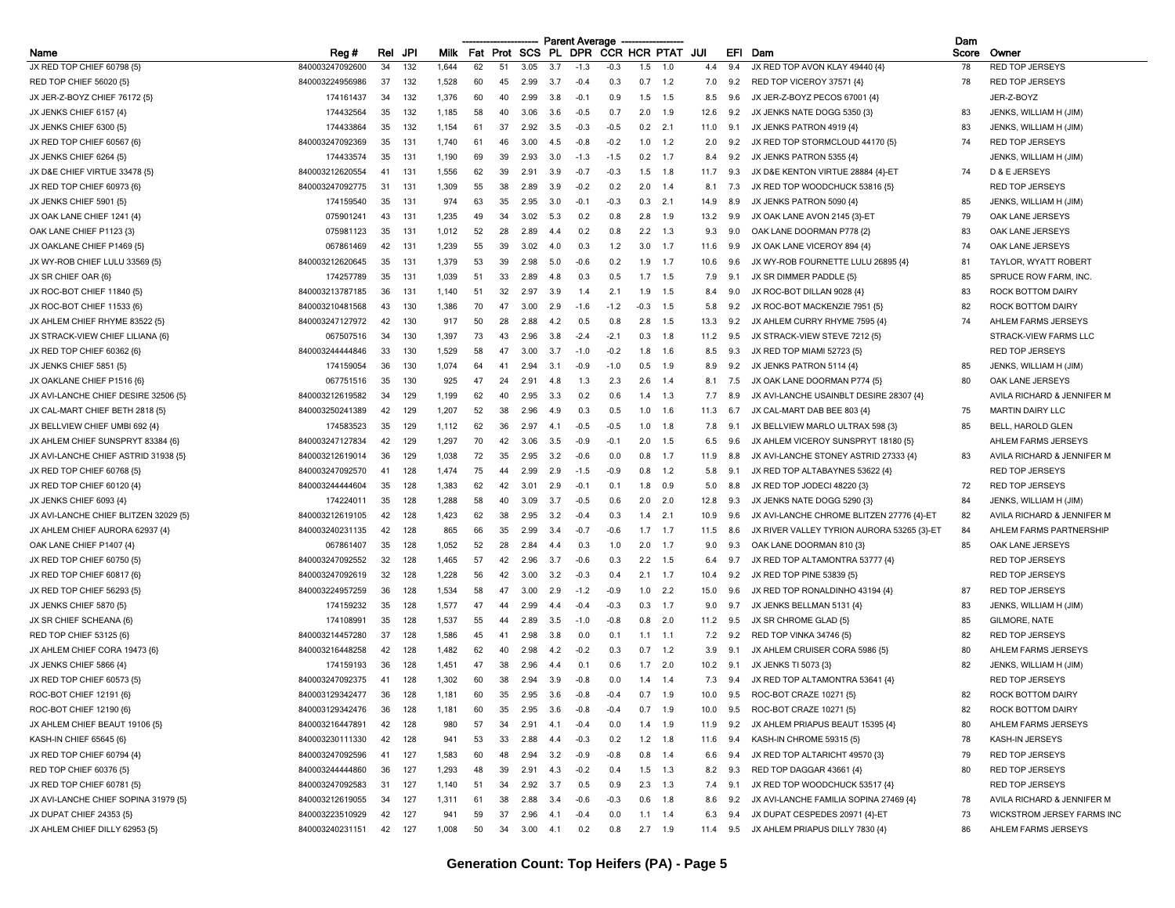|                                       |                 |     |     |             |    |          |        |           | <b>Parent Average</b> |                     |        |                 |          |     |                                            | Dam   |                            |
|---------------------------------------|-----------------|-----|-----|-------------|----|----------|--------|-----------|-----------------------|---------------------|--------|-----------------|----------|-----|--------------------------------------------|-------|----------------------------|
| Name                                  | Reg#            | Rel | JPI | <b>Milk</b> |    | Fat Prot | SCS PL |           | <b>DPR</b>            | <b>CCR HCR PTAT</b> |        |                 | JUI      | EFI | Dam                                        | Score | Owner                      |
| JX RED TOP CHIEF 60798 {5}            | 840003247092600 | 34  | 132 | 1,644       | 62 | 51       | 3.05   | 3.7       | $-1.3$                | $-0.3$              | 1.5    | 1.0             | 4.4      | 9.4 | JX RED TOP AVON KLAY 49440 {4}             | 78    | <b>RED TOP JERSEYS</b>     |
| RED TOP CHIEF 56020 (5)               | 840003224956986 | 37  | 132 | 1,528       | 60 | 45       | 2.99   | 3.7       | $-0.4$                | 0.3                 |        | $0.7$ 1.2       | 7.0      | 9.2 | RED TOP VICEROY 37571 {4}                  | 78    | <b>RED TOP JERSEYS</b>     |
| JX JER-Z-BOYZ CHIEF 76172 {5}         | 174161437       | 34  | 132 | 1,376       | 60 | 40       | 2.99   | 3.8       | $-0.1$                | 0.9                 | 1.5    | 1.5             | 8.5      | 9.6 | JX JER-Z-BOYZ PECOS 67001 {4}              |       | JER-Z-BOYZ                 |
| JX JENKS CHIEF 6157 {4}               | 174432564       | 35  | 132 | 1,185       | 58 | 40       | 3.06   | -3.6      | $-0.5$                | 0.7                 | 2.0    | 1.9             | 12.6     | 9.2 | JX JENKS NATE DOGG 5350 {3}                | 83    | JENKS, WILLIAM H (JIM)     |
| JX JENKS CHIEF 6300 {5}               | 174433864       | 35  | 132 | 1,154       | 61 | 37       | 2.92   | 3.5       | $-0.3$                | $-0.5$              | 0.2    | 2.1             | 11.0     | 9.1 | JX JENKS PATRON 4919 {4}                   | 83    | JENKS, WILLIAM H (JIM)     |
| JX RED TOP CHIEF 60567 {6}            | 840003247092369 | 35  | 131 | 1,740       | 61 |          | 3.00   | 4.5       | $-0.8$                | $-0.2$              | 1.0    | 1.2             | 2.0      | 9.2 | JX RED TOP STORMCLOUD 44170 {5}            | 74    | <b>RED TOP JERSEYS</b>     |
| JX JENKS CHIEF 6264 {5}               | 174433574       | 35  | 131 | 1,190       | 69 | 39       | 2.93   | 3.0       | $-1.3$                | $-1.5$              | 0.2    | 1.7             | 8.4      | 9.2 | JX JENKS PATRON 5355 {4}                   |       | JENKS, WILLIAM H (JIM)     |
| JX D&E CHIEF VIRTUE 33478 {5}         | 840003212620554 | 41  | 131 | 1,556       | 62 | 39       | 2.91   | 3.9       | $-0.7$                | $-0.3$              | 1.5    | - 1.8           | 11.7     | 9.3 | JX D&E KENTON VIRTUE 28884 {4}-ET          | 74    | D & E JERSEYS              |
| JX RED TOP CHIEF 60973 {6}            | 840003247092775 | 31  | 131 | 1,309       | 55 | 38       | 2.89   | 3.9       | $-0.2$                | 0.2                 | 2.0    | 1.4             | 8.1      | 7.3 | JX RED TOP WOODCHUCK 53816 {5}             |       | <b>RED TOP JERSEYS</b>     |
| JX JENKS CHIEF 5901 {5}               | 174159540       | 35  | 131 | 974         | 63 | 35       | 2.95   | 3.0       | $-0.1$                | $-0.3$              | 0.3    | 2.1             | 14.9     | 8.9 | JX JENKS PATRON 5090 {4}                   | 85    | JENKS, WILLIAM H (JIM)     |
| JX OAK LANE CHIEF 1241 {4}            | 075901241       | 43  | 131 | 1,235       | 49 | 34       | 3.02   | 5.3       | 0.2                   | 0.8                 | 2.8    | - 1.9           | 13.2     | 9.9 | JX OAK LANE AVON 2145 {3}-ET               | 79    | OAK LANE JERSEYS           |
| OAK LANE CHIEF P1123 {3}              | 075981123       | 35  | 131 | 1,012       | 52 | 28       | 2.89   |           | 0.2                   | 0.8                 | 2.2    | 1.3             | 9.3      | 9.0 | OAK LANE DOORMAN P778 {2}                  | 83    | OAK LANE JERSEYS           |
| JX OAKLANE CHIEF P1469 {5}            | 067861469       | 42  | 131 | 1,239       | 55 | 39       | 3.02   | 4.0       | 0.3                   | 1.2                 | 3.0    | 1.7             | 11.6     | 9.9 | JX OAK LANE VICEROY 894 {4}                | 74    | OAK LANE JERSEYS           |
| JX WY-ROB CHIEF LULU 33569 {5}        | 840003212620645 | 35  | 131 | 1,379       | 53 | 39       | 2.98   | 5.0       | $-0.6$                | 0.2                 | 1.9    | 1.7             | 10.6     | 9.6 | JX WY-ROB FOURNETTE LULU 26895 {4}         | -81   | TAYLOR, WYATT ROBERT       |
| JX SR CHIEF OAR {6}                   | 174257789       | 35  | 131 | 1,039       | 51 | 33       | 2.89   | 48        | 0.3                   | 0.5                 | 1.7    | 1.5             | 7.9      | 9.1 | JX SR DIMMER PADDLE {5}                    | 85    | SPRUCE ROW FARM, INC.      |
| JX ROC-BOT CHIEF 11840 {5}            | 840003213787185 | 36  | 131 | 1,140       | 51 | 32       | 2.97   | 3.9       | 1.4                   | 2.1                 | 1.9    | 1.5             | 8.4      | 9.0 | JX ROC-BOT DILLAN 9028 {4}                 | 83    | ROCK BOTTOM DAIRY          |
| JX ROC-BOT CHIEF 11533 {6}            | 840003210481568 | 43  | 130 | 1,386       | 70 | 47       | 3.00   | 2.9       | $-1.6$                | $-1.2$              | $-0.3$ | 1.5             | 5.8      | 9.2 | JX ROC-BOT MACKENZIE 7951 {5}              | 82    | ROCK BOTTOM DAIRY          |
| JX AHLEM CHIEF RHYME 83522 {5}        | 840003247127972 | 42  | 130 | 917         | 50 | 28       | 2.88   | 42        | 0.5                   | 0.8                 | 2.8    | 1.5             | 13.3     | 9.2 | JX AHLEM CURRY RHYME 7595 {4}              | 74    | AHLEM FARMS JERSEYS        |
| JX STRACK-VIEW CHIEF LILIANA {6}      | 067507516       | 34  | 130 | 1,397       | 73 | 43       | 2.96   | 3.8       | $-2.4$                | $-2.1$              | 0.3    | 1.8             | 11.2     | 9.5 | JX STRACK-VIEW STEVE 7212 {5}              |       | STRACK-VIEW FARMS LLC      |
| JX RED TOP CHIEF 60362 {6}            | 840003244444846 | 33  | 130 | 1,529       | 58 | 47       | 3.00   | -3.7      | $-1.0$                | $-0.2$              | 1.8    | 1.6             | 8.5      | 9.3 | JX RED TOP MIAMI 52723 (5)                 |       | <b>RED TOP JERSEYS</b>     |
| JX JENKS CHIEF 5851 {5}               | 174159054       | 36  | 130 | 1,074       | 64 | 41       | 2.94   | 3.1       | $-0.9$                | $-1.0$              | 0.5    | 1.9             | 8.9      | 9.2 | JX JENKS PATRON 5114 (4)                   | 85    | JENKS, WILLIAM H (JIM)     |
| JX OAKLANE CHIEF P1516 {6}            | 067751516       | 35  | 130 | 925         | 47 | 24       | 2.91   | 4.8       | 1.3                   | 2.3                 | 2.6    | -1.4            | 8.1      | 7.5 | JX OAK LANE DOORMAN P774 {5}               | 80    | OAK LANE JERSEYS           |
| JX AVI-LANCHE CHIEF DESIRE 32506 {5}  | 840003212619582 | 34  | 129 | 1,199       | 62 | 40       | 2.95   | 3.3       | 0.2                   | 0.6                 | 1.4    | 1.3             | 7.7      | 8.9 | JX AVI-LANCHE USAINBLT DESIRE 28307 {4}    |       | AVILA RICHARD & JENNIFER M |
| JX CAL-MART CHIEF BETH 2818 {5}       | 840003250241389 | 42  | 129 | 1,207       | 52 | 38       | 296    | 49        | 0.3                   | 0.5                 | 1.0    | 1.6             | 11.3     | 6.7 | JX CAL-MART DAB BEE 803 {4}                | 75    | <b>MARTIN DAIRY LLC</b>    |
| JX BELLVIEW CHIEF UMBI 692 {4]        | 174583523       | 35  | 129 | 1,112       | 62 | 36       | 2.9    |           | $-0.5$                | $-0.5$              | 1.0    | 1.8             | 7.8      | 9.1 | JX BELLVIEW MARLO ULTRAX 598 (3)           | 85    | BELL, HAROLD GLEN          |
| JX AHLEM CHIEF SUNSPRYT 83384 {6}     | 840003247127834 | 42  | 129 | 1,297       | 70 | 42       | 3.06   | 3.5       | $-0.9$                | $-0.1$              | 2.0    | 1.5             | 6.5      | 9.6 | JX AHLEM VICEROY SUNSPRYT 18180 {5}        |       | AHLEM FARMS JERSEYS        |
| JX AVI-LANCHE CHIEF ASTRID 31938 {5}  | 840003212619014 | 36  | 129 | 1,038       | 72 | 35       | 2.95   | 3.2       | $-0.6$                | 0.0                 | 0.8    | 1.7             | 11.9     | 8.8 | JX AVI-LANCHE STONEY ASTRID 27333 {4}      | 83    | AVILA RICHARD & JENNIFER M |
|                                       | 840003247092570 |     | 128 | 1,474       | 75 | 44       | 2.99   | 29        |                       | $-0.9$              |        | 1.2             | 5.8      | 9.1 | JX RED TOP ALTABAYNES 53622 {4}            |       | <b>RED TOP JERSEYS</b>     |
| JX RED TOP CHIEF 60768 {5}            |                 |     |     |             | 62 | 42       | 3.01   | 29        | $-1.5$<br>$-0.1$      | 0.1                 | 0.8    |                 |          |     |                                            | 72    |                            |
| JX RED TOP CHIEF 60120 {4}            | 840003244444604 | 35  | 128 | 1,383       |    | 40       |        |           |                       |                     | 1.8    | 0.9<br>2.0      | 5.0      | 8.8 | JX RED TOP JODECI 48220 (3)                |       | <b>RED TOP JERSEYS</b>     |
| JX JENKS CHIEF 6093 {4}               | 174224011       | 35  | 128 | 1,288       | 58 |          | 3.09   | 3.7<br>32 | $-0.5$                | 0.6                 | 2.0    |                 | 12.8     | 9.3 | JX JENKS NATE DOGG 5290 {3}                | 84    | JENKS, WILLIAM H (JIM)     |
| JX AVI-LANCHE CHIEF BLITZEN 32029 {5} | 840003212619105 | 42  | 128 | 1,423       | 62 | 38       | 2.95   |           | $-0.4$                | 0.3                 |        | 2.1             | 10.9     | 9.6 | JX AVI-LANCHE CHROME BLITZEN 27776 {4}-ET  | 82    | AVILA RICHARD & JENNIFER M |
| JX AHLEM CHIEF AURORA 62937 {4}       | 840003240231135 | 42  | 128 | 865         | 66 | 35       | 2.99   | 3.4       | $-0.7$                | $-0.6$              | 1.7    | 1.7             | 11.5     | 8.6 | JX RIVER VALLEY TYRION AURORA 53265 {3}-ET | 84    | AHLEM FARMS PARTNERSHIP    |
| OAK LANE CHIEF P1407 {4}              | 067861407       | 35  | 128 | 1,052       | 52 | 28       | 2.84   | 4.4       | 0.3                   | 1.0                 | 2.0    | $-1.7$          | 9.0      | 9.3 | OAK LANE DOORMAN 810 {3}                   | 85    | OAK LANE JERSEYS           |
| JX RED TOP CHIEF 60750 {5}            | 840003247092552 | 32  | 128 | 1,465       | 57 | 42       | 2.96   | -3.7      | $-0.6$                | 0.3                 | 2.2    | 1.5             | 6.4      | 9.7 | JX RED TOP ALTAMONTRA 53777 {4}            |       | <b>RED TOP JERSEYS</b>     |
| JX RED TOP CHIEF 60817 {6}            | 840003247092619 | 32  | 128 | 1,228       | 56 | 42       | 3.00   | 3.2       | $-0.3$                | 0.4                 | 2.1    | 1.7             | 10.4     | 9.2 | JX RED TOP PINE 53839 (5)                  |       | <b>RED TOP JERSEYS</b>     |
| JX RED TOP CHIEF 56293 {5}            | 840003224957259 | 36  | 128 | 1,534       | 58 | 47       | 3.00   | 2.9       | $-1.2$                | $-0.9$              | 1.0    | 2.2             | 15.0     | 9.6 | JX RED TOP RONALDINHO 43194 {4}            | 87    | <b>RED TOP JERSEYS</b>     |
| JX JENKS CHIEF 5870 {5}               | 174159232       | 35  | 128 | 1,577       | 47 | 44       | 2.99   |           | $-0.4$                | $-0.3$              | 0.3    | 1.7             | 9.0      | 9.7 | JX JENKS BELLMAN 5131 {4}                  | 83    | JENKS, WILLIAM H (JIM)     |
| JX SR CHIEF SCHEANA {6}               | 174108991       | 35  | 128 | 1,537       | 55 | 44       | 2.89   | 3.5       | $-1.0$                | $-0.8$              | 0.8    | 2.0             | 11.2     | 9.5 | JX SR CHROME GLAD {5}                      | 85    | GILMORE, NATE              |
| RED TOP CHIEF 53125 {6}               | 840003214457280 | 37  | 128 | 1,586       | 45 | 41       | 2.98   | 3.8       | 0.0                   | 0.1                 | 1.1    | 1.1             | 7.2      | 9.2 | RED TOP VINKA 34746 {5}                    | 82    | <b>RED TOP JERSEYS</b>     |
| JX AHLEM CHIEF CORA 19473 {6]         | 840003216448258 | 42  | 128 | 1,482       | 62 | 40       | 2.98   | 4.2       | $-0.2$                | 0.3                 | 0.7    | 1.2             | 3.9      | 9.1 | JX AHLEM CRUISER CORA 5986 {5}             | 80    | AHLEM FARMS JERSEYS        |
| JX JENKS CHIEF 5866 {4}               | 174159193       | 36  | 128 | 1,451       | 47 | 38       | 2.96   | 44        | 0.1                   | 0.6                 | 1.7    | 2.0             | 10.2     | 9.1 | JX JENKS TI 5073 {3}                       | 82    | JENKS, WILLIAM H (JIM)     |
| JX RED TOP CHIEF 60573 {5}            | 840003247092375 | 41  | 128 | 1,302       | 60 | 38       | 2.94   | 3.9       | $-0.8$                | 0.0                 | 1.4    | 1.4             | 7.3      | 9.4 | JX RED TOP ALTAMONTRA 53641 {4}            |       | <b>RED TOP JERSEYS</b>     |
| ROC-BOT CHIEF 12191 {6}               | 840003129342477 | 36  | 128 | 1,181       | 60 | 35       | 2.95   | 3.6       | $-0.8$                | $-0.4$              | 0.7    | 1.9             | 10.0     | 9.5 | ROC-BOT CRAZE 10271 {5}                    | 82    | ROCK BOTTOM DAIRY          |
| ROC-BOT CHIEF 12190 {6}               | 840003129342476 | 36  | 128 | 1,181       | 60 | 35       | 2.95   | 3.6       | $-0.8$                | $-0.4$              |        | $0.7$ 1.9       | 10.0     | 9.5 | ROC-BOT CRAZE 10271 {5}                    | 82    | ROCK BOTTOM DAIRY          |
| JX AHLEM CHIEF BEAUT 19106 {5}        | 840003216447891 | 42  | 128 | 980         | 57 | 34       | 2.91   | 4.1       | $-0.4$                | 0.0                 |        | $1.4$ 1.9       | 11.9     | 9.2 | JX AHLEM PRIAPUS BEAUT 15395 {4}           | 80    | AHLEM FARMS JERSEYS        |
| KASH-IN CHIEF 65645 {6}               | 840003230111330 | 42  | 128 | 941         | 53 | 33       | 2.88   | 4.4       | $-0.3$                | 0.2                 |        | $1.2$ 1.8       | 11.6     | 9.4 | KASH-IN CHROME 59315 {5}                   | 78    | KASH-IN JERSEYS            |
| JX RED TOP CHIEF 60794 {4}            | 840003247092596 | 41  | 127 | 1,583       | 60 | 48       | 2.94   | 3.2       | -0.9                  | $-0.8$              | 0.8    | 1.4             | 6.6      | 9.4 | JX RED TOP ALTARICHT 49570 {3}             | 79    | <b>RED TOP JERSEYS</b>     |
| RED TOP CHIEF 60376 {5}               | 840003244444860 | 36  | 127 | 1,293       | 48 | 39       | 2.91   | 4.3       | $-0.2$                | 0.4                 |        | $1.5$ 1.3       | 8.2      | 9.3 | RED TOP DAGGAR 43661 {4}                   | 80    | <b>RED TOP JERSEYS</b>     |
| JX RED TOP CHIEF 60781 {5}            | 840003247092583 | 31  | 127 | 1,140       | 51 | 34       | 2.92   | 3.7       | 0.5                   | 0.9                 |        | $2.3$ 1.3       | 7.4      | 9.1 | JX RED TOP WOODCHUCK 53517 {4}             |       | RED TOP JERSEYS            |
| JX AVI-LANCHE CHIEF SOPINA 31979 (5)  | 840003212619055 | 34  | 127 | 1,311       | 61 | 38       | 2.88   | 3.4       | $-0.6$                | $-0.3$              |        | $0.6$ 1.8       | 8.6      | 9.2 | JX AVI-LANCHE FAMILIA SOPINA 27469 {4}     | 78    | AVILA RICHARD & JENNIFER M |
| JX DUPAT CHIEF 24353 {5}              | 840003223510929 | 42  | 127 | 941         | 59 | 37       | 2.96   | 4.1       | $-0.4$                | 0.0                 |        | $1.1 \quad 1.4$ | 6.3      | 9.4 | JX DUPAT CESPEDES 20971 {4}-ET             | 73    | WICKSTROM JERSEY FARMS INC |
| JX AHLEM CHIEF DILLY 62953 {5}        | 840003240231151 | 42  | 127 | 1,008       | 50 | 34       | 3.00   | 4.1       | 0.2                   | 0.8                 |        | $2.7$ 1.9       | 11.4 9.5 |     | JX AHLEM PRIAPUS DILLY 7830 {4}            | 86    | AHLEM FARMS JERSEYS        |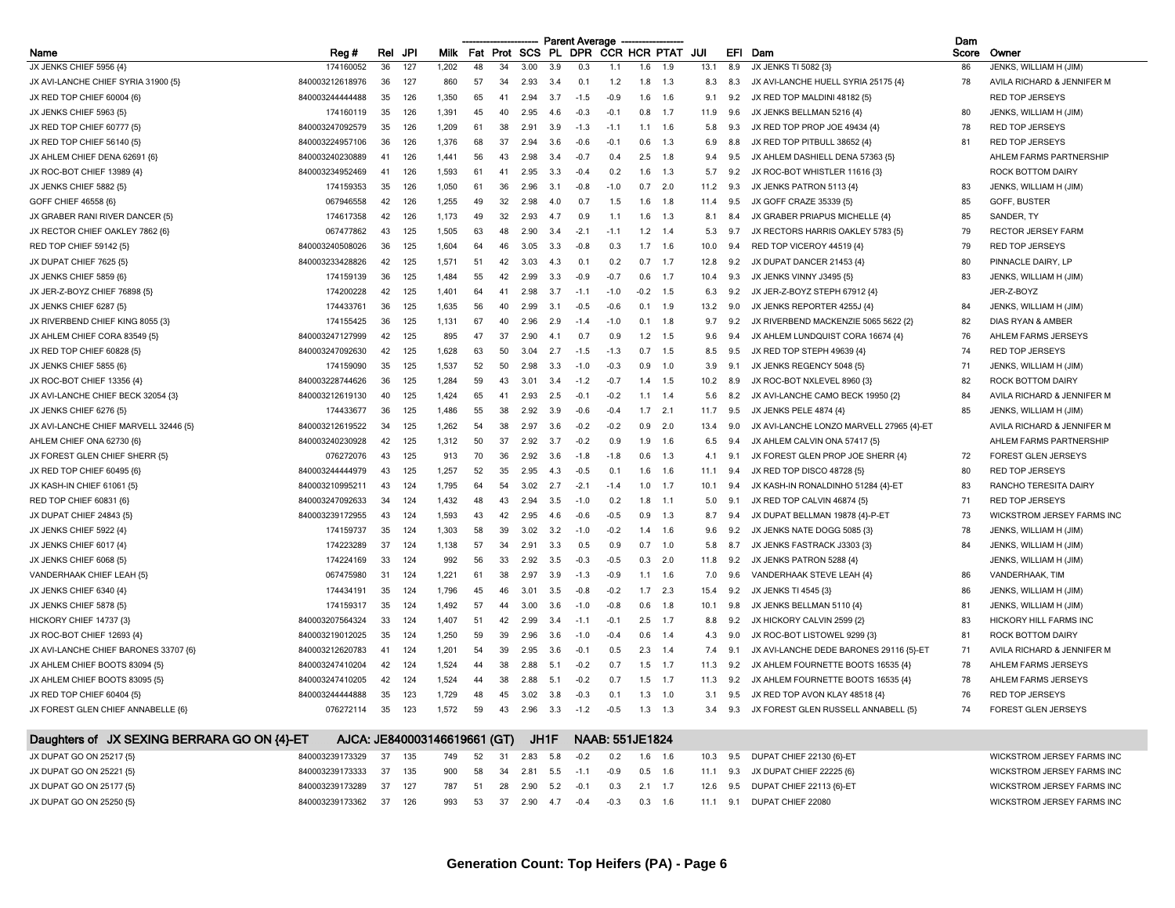|                                       |                 |     |     |             |     |      |            |           | <b>Parent Average</b> |                  |      |     |      |     |                                          | Dam   |                              |
|---------------------------------------|-----------------|-----|-----|-------------|-----|------|------------|-----------|-----------------------|------------------|------|-----|------|-----|------------------------------------------|-------|------------------------------|
| Name                                  | Reg#            | Rel | JPI | <b>Milk</b> | Fat | Prot | <b>SCS</b> | <b>PL</b> |                       | DPR CCR HCR PTAT |      |     | JUI  | EFI | Dam                                      | Score | Owner                        |
| JX JENKS CHIEF 5956 {4}               | 174160052       | 36  | 127 | 1,202       | 48  | 34   | 3.00       | 3.9       | 0.3                   | 1.1              | 1.6  | 1.9 | 13.1 | 8.9 | JX JENKS TI 5082 {3}                     | 86    | JENKS, WILLIAM H (JIM)       |
| JX AVI-LANCHE CHIEF SYRIA 31900 {5}   | 840003212618976 | 36  | 127 | 860         | 57  | 34   | 2.93       | 3.4       | 0.1                   | 1.2              | 1.8  | 1.3 | 8.3  | 8.3 | JX AVI-LANCHE HUELL SYRIA 25175 {4}      | 78    | AVILA RICHARD & JENNIFER M   |
| JX RED TOP CHIEF 60004 {6}            | 840003244444488 | 35  | 126 | 1,350       | 65  | 41   | 294        | 3.7       | $-1.5$                | $-0.9$           | 1.6  | 1.6 | 9.1  | 9.2 | JX RED TOP MALDINI 48182 {5}             |       | <b>RED TOP JERSEYS</b>       |
| JX JENKS CHIEF 5963 {5}               | 174160119       | 35  | 126 | 1.391       | 45  | 40   | 295        | 46        | $-0.3$                | -0.1             | 0.8  | 1.7 | 11.9 | 9.6 | JX JENKS BELLMAN 5216 {4}                | 80    | JENKS, WILLIAM H (JIM)       |
| JX RED TOP CHIEF 60777 {5}            | 840003247092579 | 35  | 126 | 1,209       | 61  | 38   | -2.9       | 3.9       | $-1.3$                | $-1.7$           | 1.1  | 1.6 | 5.8  | 9.3 | JX RED TOP PROP JOE 49434 {4}            | 78    | RED TOP JERSEYS              |
| JX RED TOP CHIEF 56140 {5}            | 840003224957106 | 36  | 126 | 1,376       | 68  | 37   | 2.94       | 3.6       | $-0.6$                | $-0.7$           | 0.6  | 1.3 | 6.9  | 8.8 | JX RED TOP PITBULL 38652 {4}             | 81    | <b>RED TOP JERSEYS</b>       |
| JX AHLEM CHIEF DENA 62691 {6}         | 840003240230889 | 41  | 126 | 1,441       | 56  | 43   | 2.98       | 3.4       | $-0.7$                | 0.4              | 2.5  | 1.8 | 9.4  | 9.5 | JX AHLEM DASHIELL DENA 57363 {5}         |       | AHLEM FARMS PARTNERSHIP      |
| JX ROC-BOT CHIEF 13989 {4}            | 840003234952469 | 41  | 126 | 1,593       | 61  | 41   | 2.95       | 3.3       | $-0.4$                | 0.2              | 1.6  | 1.3 | 5.7  | 9.2 | JX ROC-BOT WHISTLER 11616 (3)            |       | ROCK BOTTOM DAIRY            |
| JX JENKS CHIEF 5882 {5}               | 174159353       | 35  | 126 | 1.050       | 61  | 36   | 2.96       | 3.1       | $-0.8$                | $-1.0$           | 0.7  | 2.0 | 11.2 | 9.3 | JX JENKS PATRON 5113 {4}                 | 83    | JENKS, WILLIAM H (JIM)       |
| GOFF CHIEF 46558 {6}                  | 067946558       | 42  | 126 | 1.255       | 49  | 32   | 2.98       | 4 Q       | 0.7                   | 1.5              | 16   | 1.8 | 11.4 | 9.5 | JX GOFF CRAZE 35339 (5)                  | 85    | GOFF, BUSTER                 |
| JX GRABER RANI RIVER DANCER (5)       | 174617358       | 42  | 126 | 1,173       | 49  | 32   | 2.93       | -4.7      | 0.9                   | $-1.1$           | 1.6  | 1.3 | 8.1  | 8.4 | JX GRABER PRIAPUS MICHELLE {4}           | 85    | SANDER, TY                   |
| JX RECTOR CHIEF OAKLEY 7862 {6}       | 067477862       | 43  | 125 | 1,505       | 63  | 48   | 2.90       | 3.4       | $-2.1$                | $-1.1$           | 1.2  | 1.4 | 5.3  | 9.7 | JX RECTORS HARRIS OAKLEY 5783 (5)        | 79    | <b>RECTOR JERSEY FARM</b>    |
| RED TOP CHIEF 59142 {5}               | 840003240508026 | 36  | 125 | 1,604       | 64  | 46   | 3.05       | 3.3       | $-0.8$                | 0.3              | 1.7  | 1.6 | 10.0 | 9.4 | RED TOP VICEROY 44519 {4}                | 79    | <b>RED TOP JERSEYS</b>       |
| JX DUPAT CHIEF 7625 {5}               | 840003233428826 | 42  | 125 | 1,571       | 51  | 42   | 3.03       | 43        | 0.1                   | 0.2              | 0.7  | 1.7 | 12.8 | 9.2 | JX DUPAT DANCER 21453 {4}                | 80    | PINNACLE DAIRY, LP           |
| JX JENKS CHIEF 5859 {6}               | 174159139       | 36  | 125 | 1,484       | 55  | 42   | 2.99       | 3.3       | $-0.9$                | $-0.7$           | 0.6  | 1.7 | 10.4 | 9.3 | JX JENKS VINNY J3495 {5}                 | 83    | JENKS, WILLIAM H (JIM)       |
| JX JER-Z-BOYZ CHIEF 76898 {5}         | 174200228       | 42  | 125 | 1,401       | 64  | 41   | 2.98       | 37        | $-1.1$                | $-1.0$           | -0.2 | 1.5 | 6.3  | 9.2 | JX JER-Z-BOYZ STEPH 67912 {4}            |       | JER-Z-BOYZ                   |
| JX JENKS CHIEF 6287 {5}               | 174433761       | 36  | 125 | 1.635       | 56  | 40   | 2.99       | 3.1       | $-0.5$                | $-0.6$           | 0.1  | 1.9 | 13.2 | 9.0 | JX JENKS REPORTER 4255J {4}              | 84    | JENKS, WILLIAM H (JIM)       |
| JX RIVERBEND CHIEF KING 8055 {3}      | 174155425       | 36  | 125 | 1.131       | 67  | 40   | 2.96       | 2.9       | $-14$                 | $-1.0$           | 0.1  | 1.8 | 9.7  | 9.2 | JX RIVERBEND MACKENZIE 5065 5622 {2}     | 82    | <b>DIAS RYAN &amp; AMBER</b> |
| JX AHLEM CHIEF CORA 83549 {5}         | 840003247127999 | 42  | 125 | 895         | 47  | 37   | 2.90       | 4.1       | 0.7                   | 0.9              | 1.2  | 1.5 | 9.6  | 9.4 | JX AHLEM LUNDQUIST CORA 16674 {4}        | 76    | AHLEM FARMS JERSEYS          |
| JX RED TOP CHIEF 60828 {5}            | 840003247092630 | 42  | 125 | 1.628       | 63  | 50   | 3.04       | 2.7       | $-1.5$                | $-1.3$           | 0.7  | 1.5 | 8.5  | 9.5 | JX RED TOP STEPH 49639 {4}               | 74    | <b>RED TOP JERSEYS</b>       |
| JX JENKS CHIEF 5855 {6}               | 174159090       | 35  | 125 | 1,537       | 52  | 50   | 2.98       | 3.3       | $-1.0$                | $-0.3$           | 0.9  | 1.0 | 3.9  | 9.1 | JX JENKS REGENCY 5048 {5}                | 71    | JENKS, WILLIAM H (JIM)       |
| JX ROC-BOT CHIEF 13356 {4}            | 840003228744626 | 36  | 125 | 1,284       | 59  | 43   | 3.01       | 3.4       | $-1.2$                | $-0.7$           | 1.4  | 1.5 | 10.2 | 8.9 | JX ROC-BOT NXLEVEL 8960 {3}              | 82    | ROCK BOTTOM DAIRY            |
| JX AVI-LANCHE CHIEF BECK 32054 {3}    | 840003212619130 | 40  | 125 | 1,424       | 65  | 41   | 2.93       | 2.5       | $-0.1$                | $-0.2$           | 1.1  | 1.4 | 5.6  | 8.2 | JX AVI-LANCHE CAMO BECK 19950 {2}        | 84    | AVILA RICHARD & JENNIFER M   |
| JX JENKS CHIEF 6276 {5}               | 174433677       | 36  | 125 | 1.486       | 55  | 38   | 2.92       | 39        | $-0.6$                | $-0.4$           | 17   | 2.1 | 11.7 | 9.5 | JX JENKS PELE 4874 {4}                   | 85    | JENKS, WILLIAM H (JIM)       |
| JX AVI-LANCHE CHIEF MARVELL 32446 {5} | 840003212619522 | 34  | 125 | 1,262       | -54 | 38   | 2.97       | 3.6       | $-0.2$                | $-0.2$           | 0.9  | 2.0 | 13.4 | 9.0 | JX AVI-LANCHE LONZO MARVELL 27965 {4}-ET |       | AVILA RICHARD & JENNIFER M   |
| AHLEM CHIEF ONA 62730 {6}             | 840003240230928 | 42  | 125 | 1,312       | 50  | -37  | 2.92       | 37        | $-0.2$                | 09               | 19   | 1.6 | 6.5  | 9.4 | JX AHLEM CALVIN ONA 57417 {5}            |       | AHLEM FARMS PARTNERSHIP      |
| JX FOREST GLEN CHIEF SHERR {5}        | 076272076       | 43  | 125 | 913         | 70  | 36   | 2.92       | 3.6       | $-1.8$                | $-1.8$           | 0.6  | 1.3 | 4.1  | 9.1 | JX FOREST GLEN PROP JOE SHERR {4}        | 72    | <b>FOREST GLEN JERSEYS</b>   |
| JX RED TOP CHIEF 60495 {6}            | 840003244444979 | 43  | 125 | 1,257       | 52  | 35   | 2.95       | 4.3       | $-0.5$                | 0.1              | 1.6  | 1.6 | 11.1 | 9.4 | JX RED TOP DISCO 48728 {5}               | 80    | <b>RED TOP JERSEYS</b>       |
| JX KASH-IN CHIEF 61061 {5}            | 840003210995211 | 43  | 124 | 1,795       | 64  | 54   | 3.02       | 2.7       | $-2.1$                | $-1.4$           | 1.0  | 1.7 | 10.1 | 9.4 | JX KASH-IN RONALDINHO 51284 {4}-ET       | 83    | RANCHO TERESITA DAIRY        |
| RED TOP CHIEF 60831 {6}               | 840003247092633 | 34  | 124 | 1,432       | 48  | 43   | 2.94       | 3.5       | $-1.0$                | 0.2              | 1.8  | 1.1 | 5.0  | 9.1 | JX RED TOP CALVIN 46874 {5}              | 71    | <b>RED TOP JERSEYS</b>       |
| JX DUPAT CHIEF 24843 {5}              | 840003239172955 | 43  | 124 | 1,593       | 43  | 42   | 295        | 4 F       | -በ 6                  | -0.5             | 09   | 1.3 | 8.7  | 9.4 | JX DUPAT BELLMAN 19878 {4}-P-ET          | 73    | WICKSTROM JERSEY FARMS INC   |
| JX JENKS CHIEF 5922 {4}               | 174159737       | 35  | 124 | 1.303       | 58  | 39   | 3.02       | 32        | $-1.0$                | $-0.2$           | 14   | 1.6 | 9.6  | 9.2 | JX JENKS NATE DOGG 5085 (3)              | 78    | JENKS, WILLIAM H (JIM)       |
| JX JENKS CHIEF 6017 {4}               | 174223289       | -37 | 124 | 1,138       | 57  | 34   | 2.91       | 3.3       | 0.5                   | 0.9              | 0.7  | 1.0 | 5.8  | 8.7 | JX JENKS FASTRACK J3303 {3}              | 84    | JENKS, WILLIAM H (JIM)       |
| JX JENKS CHIEF 6068 {5}               | 174224169       | 33  | 124 | 992         | 56  | 33   | 2.92       | 3.5       | $-0.3$                | $-0.5$           | 03   | 2.0 | 11.8 | 9.2 | JX JENKS PATRON 5288 {4}                 |       | JENKS, WILLIAM H (JIM)       |
| VANDERHAAK CHIEF LEAH {5}             | 067475980       | 31  | 124 | 1,221       | 61  | 38   | 2.97       | 3.9       | $-1.3$                | $-0.9$           | 1.1  | 1.6 | 7.0  | 9.6 | VANDERHAAK STEVE LEAH {4}                | 86    | VANDERHAAK, TIM              |
| JX JENKS CHIEF 6340 {4}               | 174434191       | 35  | 124 | 1,796       | 45  | 46   | 3.01       | 3.5       | $-0.8$                | $-0.2$           | 1.7  | 2.3 | 15.4 | 9.2 | JX JENKS TI 4545 {3}                     | 86    | JENKS, WILLIAM H (JIM)       |
| JX JENKS CHIEF 5878 {5}               | 174159317       | 35  | 124 | 1,492       | 57  | 44   | 3.00       | 3.6       | $-1.0$                | $-0.8$           | 0.6  | 1.8 | 10.1 | 9.8 | JX JENKS BELLMAN 5110 {4}                | 81    | JENKS, WILLIAM H (JIM)       |
| HICKORY CHIEF 14737 {3}               | 840003207564324 | 33  | 124 | 1,407       | 51  | 42   | 2.99       | 3.4       | $-1.1$                | $-0.7$           | 2.5  | 1.7 | 8.8  | 9.2 | JX HICKORY CALVIN 2599 {2}               | 83    | HICKORY HILL FARMS INC       |
| JX ROC-BOT CHIEF 12693 {4}            | 840003219012025 | 35  | 124 | 1.250       | 59  | 39   | 2.96       | 3.6       | $-10$                 | ، ۵-             | 0.6  | 1.4 | 4.3  | 9.0 | JX ROC-BOT LISTOWEL 9299 {3}             | 81    | <b>ROCK BOTTOM DAIRY</b>     |
| JX AVI-LANCHE CHIEF BARONES 33707 {6} | 840003212620783 | 41  | 124 | 1,201       | 54  | 39   | 295        | 36        | $-0.1$                | 0.5              | 2.3  | 14  | 7.4  | 9.1 | JX AVI-LANCHE DEDE BARONES 29116 (5)-ET  | 71    | AVILA RICHARD & JENNIFER M   |
| JX AHLEM CHIEF BOOTS 83094 (5)        | 840003247410204 | 42  | 124 | 1,524       | 44  | 38   | 2.88       | -5.1      | $-0.2$                | 0.7              | 1.5  | 1.7 | 11.3 | 9.2 | JX AHLEM FOURNETTE BOOTS 16535 {4}       | 78    | AHLEM FARMS JERSEYS          |
| JX AHLEM CHIEF BOOTS 83095 {5}        | 840003247410205 | 42  | 124 | 1,524       | 44  | 38   | 2.88       | -51       | $-0.2$                | . በ 7            | 15   | -17 | 11.3 | 9.2 | JX AHLEM FOURNETTE BOOTS 16535 {4}       | 78    | AHLEM FARMS JERSEYS          |
| JX RED TOP CHIEF 60404 {5}            | 840003244444888 | 35  | 123 | 1,729       | 48  | 45   | 3.02       | 3.8       | $-0.3$                | $\Omega$ .       | 1.3  | 1.0 | 3.1  | 9.5 | JX RED TOP AVON KLAY 48518 {4}           | 76    | <b>RED TOP JERSEYS</b>       |
| JX FOREST GLEN CHIEF ANNABELLE {6}    | 076272114       | 35  | 123 | 1.572       | 59  | 43   | 2.96       | 3.3       | $-1.2$                | $-0.5$           | 1.3  | 1.3 | 3.4  | 9.3 | JX FOREST GLEN RUSSELL ANNABELL (5)      | 74    | <b>FOREST GLEN JERSEYS</b>   |
|                                       |                 |     |     |             |     |      |            |           |                       |                  |      |     |      |     |                                          |       |                              |

| Daughters of JX SEXING BERRARA GO ON {4}-ET | AJCA: JE840003146619661 (GT) JH1F NAAB: 551JE1824 |  |  |  |  |  |  |                                                                                              |                            |
|---------------------------------------------|---------------------------------------------------|--|--|--|--|--|--|----------------------------------------------------------------------------------------------|----------------------------|
| JX DUPAT GO ON 25217 {5}                    |                                                   |  |  |  |  |  |  | 840003239173329 37 135 749 52 31 2.83 5.8 -0.2 0.2 1.6 1.6 10.3 9.5 DUPAT CHIEF 22130 {6}-ET | WICKSTROM JERSEY FARMS INC |
| JX DUPAT GO ON 25221 {5}                    |                                                   |  |  |  |  |  |  | 840003239173333 37 135 900 58 34 2.81 5.5 -1.1 -0.9 0.5 1.6 11.1 9.3 JXDUPATCHIEF 22225 {6}  | WICKSTROM JERSEY FARMS INC |
| JX DUPAT GO ON 25177 (5)                    |                                                   |  |  |  |  |  |  | 840003239173289 37 127 787 51 28 2.90 5.2 -0.1 0.3 2.1 1.7 12.6 9.5 DUPAT CHIEF 22113 {6}-ET | WICKSTROM JERSEY FARMS INC |
| JX DUPAT GO ON 25250 {5}                    |                                                   |  |  |  |  |  |  | 840003239173362 37 126 993 53 37 2.90 4.7 -0.4 -0.3 0.3 1.6 11.1 9.1 DUPAT CHIEF 22080       | WICKSTROM JERSEY FARMS INC |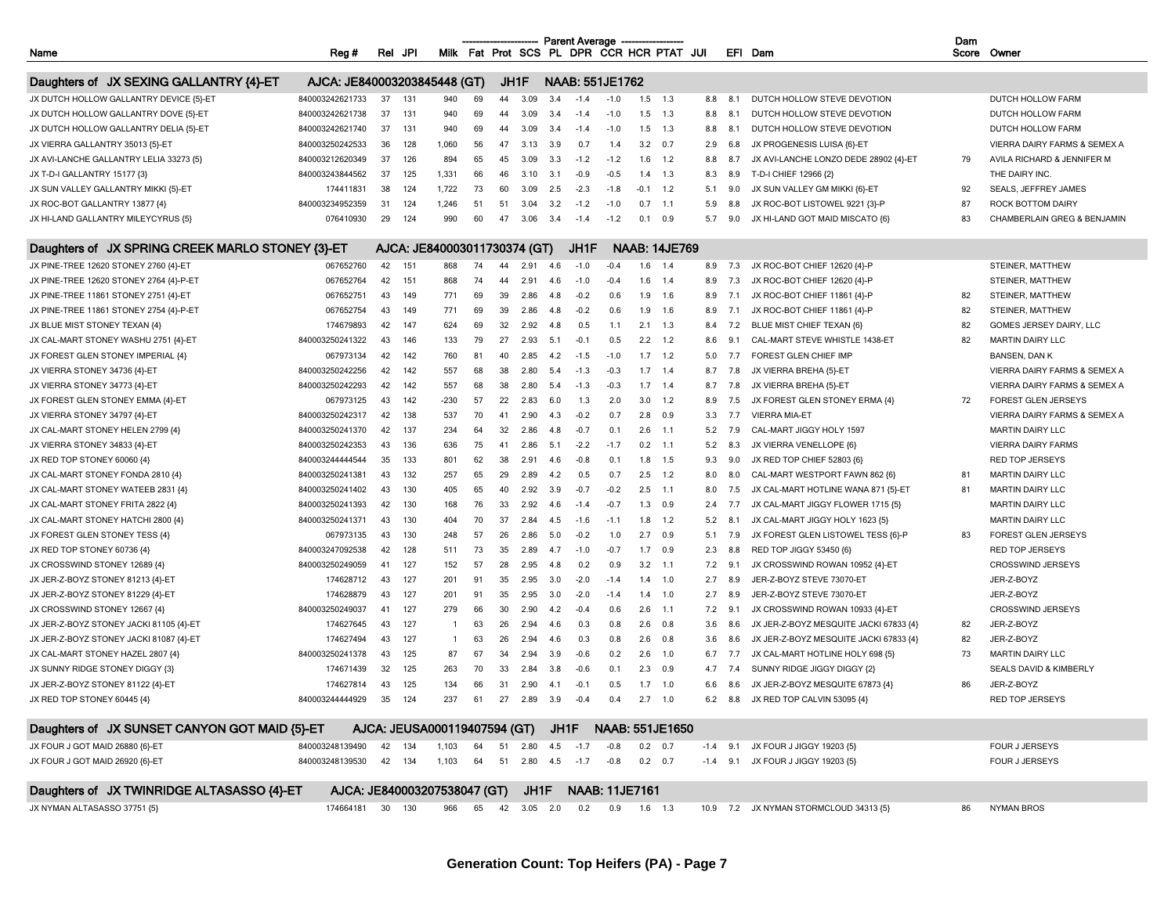| Dam<br><b>Parent Average</b><br>Milk Fat Prot SCS PL DPR CCR HCR PTAT JUI<br>Reg #<br>JPI<br>EFI Dam<br>Name<br>Rel |                              |    |     |                                                   |    |     |                     |      |        |                       |           |                      |     |     |                                        |    |                              |
|---------------------------------------------------------------------------------------------------------------------|------------------------------|----|-----|---------------------------------------------------|----|-----|---------------------|------|--------|-----------------------|-----------|----------------------|-----|-----|----------------------------------------|----|------------------------------|
|                                                                                                                     |                              |    |     |                                                   |    |     |                     |      |        |                       |           |                      |     |     |                                        |    | Score Owner                  |
|                                                                                                                     |                              |    |     |                                                   |    |     |                     |      |        |                       |           |                      |     |     |                                        |    |                              |
| Daughters of JX SEXING GALLANTRY {4}-ET                                                                             | AJCA: JE840003203845448 (GT) |    |     |                                                   |    |     | JH1F                |      |        | NAAB: 551JE1762       |           |                      |     |     |                                        |    |                              |
| JX DUTCH HOLLOW GALLANTRY DEVICE {5}-ET                                                                             | 840003242621733              | 37 | 131 | 940                                               | 69 | 44  | 3.09                | 3.4  | $-1.4$ | $-1.0$                |           | $1.5$ 1.3            | 8.8 | 8.1 | DUTCH HOLLOW STEVE DEVOTION            |    | DUTCH HOLLOW FARM            |
| JX DUTCH HOLLOW GALLANTRY DOVE {5}-ET                                                                               | 840003242621738              | 37 | 131 | 940                                               | 69 | 44  | 3.09                | 3.4  | $-1.4$ | $-1.0$                | 1.5       | 1.3                  | 8.8 | 8.1 | DUTCH HOLLOW STEVE DEVOTION            |    | DUTCH HOLLOW FARM            |
| JX DUTCH HOLLOW GALLANTRY DELIA {5}-ET                                                                              | 840003242621740              | 37 | 131 | 940                                               | 69 | 44  | 3.09                | 3.4  | $-1.4$ | $-1.0$                | 1.5       | 1.3                  | 8.8 | 8.1 | DUTCH HOLLOW STEVE DEVOTION            |    | DUTCH HOLLOW FARM            |
| JX VIERRA GALLANTRY 35013 {5}-ET                                                                                    | 840003250242533              | 36 | 128 | 1,060                                             | 56 | 47  | 3.13                | 3.9  | 0.7    | 1.4                   | 3.2       | 0.7                  | 2.9 | 6.8 | JX PROGENESIS LUISA {6}-ET             |    | VIERRA DAIRY FARMS & SEMEX A |
| JX AVI-LANCHE GALLANTRY LELIA 33273 {5}                                                                             | 840003212620349              | 37 | 126 | 894                                               | 65 | 45  | 3.09                | 3.3  | $-1.2$ | $-1.2$                | 1.6       | 1.2                  | 8.8 | 8.7 | JX AVI-LANCHE LONZO DEDE 28902 {4}-ET  | 79 | AVILA RICHARD & JENNIFER M   |
| JX T-D-I GALLANTRY 15177 {3}                                                                                        | 840003243844562              | 37 | 125 | 1,331                                             | 66 | 46  | 3.10                | 3.1  | $-0.9$ | $-0.5$                | 1.4       | 1.3                  | 8.3 | 8.9 | T-D-I CHIEF 12966 {2}                  |    | THE DAIRY INC.               |
| JX SUN VALLEY GALLANTRY MIKKI {5}-ET                                                                                | 174411831                    | 38 | 124 | 1,722                                             | 73 | 60  | 3.09                | 2.5  | $-2.3$ | $-1.8$                | $-0.1$    | 1.2                  | 5.1 | 9.0 | JX SUN VALLEY GM MIKKI {6}-ET          | 92 | SEALS, JEFFREY JAMES         |
| JX ROC-BOT GALLANTRY 13877 {4}                                                                                      | 840003234952359              | 31 | 124 | 1,246                                             | 51 | 51  | 3.04                | 3.2  | $-1.2$ | $-1.0$                | 0.7       | $-1.1$               | 5.9 | 8.8 | JX ROC-BOT LISTOWEL 9221 {3}-P         | 87 | ROCK BOTTOM DAIRY            |
| JX HI-LAND GALLANTRY MILEYCYRUS {5}                                                                                 | 076410930                    | 29 | 124 | 990                                               | 60 | 47  | 3.06                | 3.4  | $-1.4$ | $-1.2$                | 0.1       | 0.9                  | 5.7 | 9.0 | JX HI-LAND GOT MAID MISCATO {6}        | 83 | CHAMBERLAIN GREG & BENJAMIN  |
| Daughters of JX SPRING CREEK MARLO STONEY {3}-ET                                                                    |                              |    |     | AJCA: JE840003011730374 (GT)                      |    |     |                     |      | JH1F   |                       |           | <b>NAAB: 14JE769</b> |     |     |                                        |    |                              |
| JX PINE-TREE 12620 STONEY 2760 {4}-ET                                                                               | 067652760                    | 42 | 151 | 868                                               | 74 | 44  | 2.91                | 4.6  | $-1.0$ | $-0.4$                | 1.6       | 1.4                  | 8.9 | 7.3 | JX ROC-BOT CHIEF 12620 {4}-P           |    | STEINER, MATTHEW             |
| JX PINE-TREE 12620 STONEY 2764 {4}-P-ET                                                                             | 067652764                    | 42 | 151 | 868                                               | 74 | 44  | 2.91                | 4.6  | $-1.0$ | $-0.4$                | 1.6       | 1.4                  | 8.9 | 7.3 | JX ROC-BOT CHIEF 12620 {4}-P           |    | STEINER, MATTHEW             |
| JX PINE-TREE 11861 STONEY 2751 {4}-ET                                                                               | 067652751                    | 43 | 149 | 771                                               | 69 | 39  | 2.86                | -4.8 | $-0.2$ | 0.6                   | 1.9       | 1.6                  | 8.9 | 7.1 | JX ROC-BOT CHIEF 11861 {4}-P           | 82 | STEINER, MATTHEW             |
| JX PINE-TREE 11861 STONEY 2754 {4}-P-ET                                                                             | 067652754                    | 43 | 149 | 771                                               | 69 | 39  | 2.86                | 4.8  | $-0.2$ | 0.6                   | 1.9       | 1.6                  | 8.9 | 7.1 | JX ROC-BOT CHIEF 11861 {4}-P           | 82 | STEINER, MATTHEW             |
| JX BLUE MIST STONEY TEXAN {4}                                                                                       | 174679893                    | 42 | 147 | 624                                               | 69 | 32  | 2.92                | 4.8  | 0.5    | 1.1                   | 2.1       | 1.3                  | 8.4 | 7.2 | BLUE MIST CHIEF TEXAN {6}              | 82 | GOMES JERSEY DAIRY. LLC      |
| JX CAL-MART STONEY WASHU 2751 {4}-ET                                                                                | 840003250241322              | 43 | 146 | 133                                               | 79 | 27  | 2.93                | 5.1  | $-0.1$ | 0.5                   | 2.2       | 1.2                  | 8.6 | 9.1 | CAL-MART STEVE WHISTLE 1438-ET         | 82 | <b>MARTIN DAIRY LLC</b>      |
| JX FOREST GLEN STONEY IMPERIAL {4}                                                                                  | 067973134                    | 42 | 142 | 760                                               | 81 | 40  | 2.85                | 4.2  | $-1.5$ | $-1.0$                | 1.7       | 1.2                  | 5.0 | 7.7 | FOREST GLEN CHIEF IMP                  |    | <b>BANSEN, DAN K</b>         |
| JX VIERRA STONEY 34736 {4}-ET                                                                                       | 840003250242256              | 42 | 142 | 557                                               | 68 | 38  | 2.80                | 5.4  | $-1.3$ | $-0.3$                | 1.7       | 1.4                  | 8.7 | 7.8 | JX VIERRA BREHA {5}-ET                 |    | VIERRA DAIRY FARMS & SEMEX A |
| JX VIERRA STONEY 34773 {4}-ET                                                                                       | 840003250242293              | 42 | 142 | 557                                               | 68 | 38  | 2.80                | 5.4  | $-1.3$ | $-0.3$                | 1.7       | 1.4                  | 8.7 | 7.8 | JX VIERRA BREHA {5}-ET                 |    | VIERRA DAIRY FARMS & SEMEX A |
| JX FOREST GLEN STONEY EMMA {4}-ET                                                                                   | 067973125                    | 43 | 142 | -230                                              | 57 | 22  | 2.83                | 6.0  | 1.3    | 2.0                   | 3.0       | 1.2                  | 8.9 | 7.5 | JX FOREST GLEN STONEY ERMA {4}         | 72 | <b>FOREST GLEN JERSEYS</b>   |
| JX VIERRA STONEY 34797 {4}-ET                                                                                       | 840003250242317              | 42 | 138 | 537                                               | 70 | 41  | 2.90                | -4.3 | $-0.2$ | 0.7                   | 2.8       | 0.9                  | 3.3 | 7.7 | <b>VIERRA MIA-ET</b>                   |    | VIERRA DAIRY FARMS & SEMEX A |
| JX CAL-MART STONEY HELEN 2799 {4}                                                                                   | 840003250241370              | 42 | 137 | 234                                               | 64 | 32  | 2.86                | 4.8  | $-0.7$ | 0.1                   | 2.6       | $-1.1$               | 5.2 | 7.9 | CAL-MART JIGGY HOLY 1597               |    | <b>MARTIN DAIRY LLC</b>      |
| JX VIERRA STONEY 34833 {4}-ET                                                                                       | 840003250242353              | 43 | 136 | 636                                               | 75 | -41 | 2.86                | 5.1  | $-2.2$ | $-1.7$                | 0.2       | $-1.1$               | 5.2 | 8.3 | JX VIERRA VENELLOPE {6}                |    | <b>VIERRA DAIRY FARMS</b>    |
| JX RED TOP STONEY 60060 {4}                                                                                         | 840003244444544              | 35 | 133 | 801                                               | 62 | 38  | 2.91                | 4.6  | $-0.8$ | 0.1                   | 1.8       | 1.5                  | 9.3 | 9.0 | JX RED TOP CHIEF 52803 {6}             |    | <b>RED TOP JERSEYS</b>       |
| JX CAL-MART STONEY FONDA 2810 {4}                                                                                   | 840003250241381              | 43 | 132 | 257                                               | 65 | 29  | 2.89                | 4.2  | 0.5    | 0.7                   | 2.5       | 1.2                  | 8.0 | 8.0 | CAL-MART WESTPORT FAWN 862 {6}         | 81 | <b>MARTIN DAIRY LLC</b>      |
| JX CAL-MART STONEY WATEEB 2831 {4}                                                                                  | 840003250241402              | 43 | 130 | 405                                               | 65 | 40  | 2.92                | 3.9  | $-0.7$ | $-0.2$                | $2.5\,$   | $-1.1$               | 8.0 | 7.5 | JX CAL-MART HOTLINE WANA 871 {5}-ET    | 81 | <b>MARTIN DAIRY LLC</b>      |
| JX CAL-MART STONEY FRITA 2822 {4}                                                                                   | 840003250241393              | 42 | 130 | 168                                               | 76 | 33  | 2.92                | 4.6  | $-1.4$ | $-0.7$                | 1.3       | 0.9                  | 2.4 | 7.7 | JX CAL-MART JIGGY FLOWER 1715 {5}      |    | <b>MARTIN DAIRY LLC</b>      |
| JX CAL-MART STONEY HATCHI 2800 {4}                                                                                  | 840003250241371              | 43 | 130 | 404                                               | 70 | 37  | 2.84                | 4.5  | $-1.6$ | $-1.1$                | 1.8       | 1.2                  | 5.2 | 8.1 | JX CAL-MART JIGGY HOLY 1623 {5}        |    | <b>MARTIN DAIRY LLC</b>      |
| JX FOREST GLEN STONEY TESS {4}                                                                                      | 067973135                    | 43 | 130 | 248                                               | 57 | 26  | 2.86                | 5.0  | $-0.2$ | 1.0                   | 2.7       | 0.9                  | 5.1 | 7.9 | JX FOREST GLEN LISTOWEL TESS {6}-P     | 83 | <b>FOREST GLEN JERSEYS</b>   |
| JX RED TOP STONEY 60736 {4}                                                                                         | 840003247092538              | 42 | 128 | 511                                               | 73 | 35  | 2.89                | 4.7  | $-1.0$ | $-0.7$                | 1.7       | 0.9                  | 2.3 | 8.8 | RED TOP JIGGY 53450 {6}                |    | RED TOP JERSEYS              |
| JX CROSSWIND STONEY 12689 {4}                                                                                       | 840003250249059              | 41 | 127 | 152                                               | 57 | 28  | 2.95                | 4.8  | 0.2    | 0.9                   | 3.2       | $-1.1$               | 7.2 | 9.1 | JX CROSSWIND ROWAN 10952 {4}-ET        |    | CROSSWIND JERSEYS            |
| JX JER-Z-BOYZ STONEY 81213 {4}-ET                                                                                   | 174628712                    | 43 | 127 | 201                                               | 91 | 35  | 2.95                | 3.0  | $-2.0$ | $-1.4$                | 1.4       | 1.0                  | 2.7 | 8.9 | JER-Z-BOYZ STEVE 73070-ET              |    | JER-Z-BOYZ                   |
| JX JER-Z-BOYZ STONEY 81229 {4}-ET                                                                                   | 174628879                    | 43 | 127 | 201                                               | 91 | 35  | 2.95                | 3.0  | $-2.0$ | $-1.4$                | 1.4       | 1.0                  | 2.7 | 8.9 | JER-Z-BOYZ STEVE 73070-ET              |    | JER-Z-BOYZ                   |
| JX CROSSWIND STONEY 12667 {4}                                                                                       | 840003250249037              | 41 | 127 | 279                                               | 66 | 30  | 2.90                | 4.2  | $-0.4$ | 0.6                   | 2.6       | $-1.1$               | 7.2 | 9.  | JX CROSSWIND ROWAN 10933 {4}-ET        |    | CROSSWIND JERSEYS            |
| JX JER-Z-BOYZ STONEY JACKI 81105 {4}-ET                                                                             | 174627645                    | 43 | 127 | -1.                                               | 63 | 26  | 2.94                | 4.6  | 0.3    | 0.8                   | 2.6       | 0.8                  | 3.6 | 8.6 | JX JER-Z-BOYZ MESQUITE JACKI 67833 {4} | 82 | JER-Z-BOYZ                   |
| JX JER-Z-BOYZ STONEY JACKI 81087 {4}-ET                                                                             | 174627494                    | 43 | 127 | $\mathbf{1}$                                      | 63 | 26  | 2.94                | 4.6  | 0.3    | 0.8                   | 2.6       | 0.8                  | 3.6 | 8.6 | JX JER-Z-BOYZ MESQUITE JACKI 67833 {4} | 82 | JER-Z-BOYZ                   |
| JX CAL-MART STONEY HAZEL 2807 {4}                                                                                   | 840003250241378              | 43 | 125 | 87                                                | 67 | 34  | 2.94                | 3.9  | $-0.6$ | 0.2                   | 2.6       | 1.0                  | 6.7 | 7.7 | JX CAL-MART HOTLINE HOLY 698 (5)       | 73 | <b>MARTIN DAIRY LLC</b>      |
| JX SUNNY RIDGE STONEY DIGGY {3}                                                                                     | 174671439                    | 32 | 125 | 263                                               | 70 | 33  | 2.84                | 3.8  | $-0.6$ | 0.1                   | 2.3       | 0.9                  | 4.7 | 7.4 | SUNNY RIDGE JIGGY DIGGY {2}            |    | SEALS DAVID & KIMBERLY       |
| JX JER-Z-BOYZ STONEY 81122 {4}-ET                                                                                   | 174627814                    | 43 | 125 | 134                                               | 66 | 31  | 2.90                | 4.1  | $-0.1$ | 0.5                   | 1.7       | 1.0                  | 6.6 | 8.6 | JX JER-Z-BOYZ MESQUITE 67873 {4}       | 86 | JER-Z-BOYZ                   |
| JX RED TOP STONEY 60445 {4}                                                                                         | 840003244444929              | 35 | 124 | 237                                               | 61 |     | 27  2.89  3.9       |      | $-0.4$ | $0.4$ 2.7 1.0         |           |                      |     |     | 6.2 8.8 JX RED TOP CALVIN 53095 {4}    |    | RED TOP JERSEYS              |
|                                                                                                                     |                              |    |     |                                                   |    |     |                     |      |        |                       |           |                      |     |     |                                        |    |                              |
| Daughters of JX SUNSET CANYON GOT MAID {5}-ET                                                                       |                              |    |     | AJCA: JEUSA000119407594 (GT) JH1F NAAB: 551JE1650 |    |     |                     |      |        |                       |           |                      |     |     |                                        |    |                              |
| JX FOUR J GOT MAID 26880 {6}-ET                                                                                     | 840003248139490              | 42 | 134 | 1,103                                             | 64 |     | 51  2.80  4.5  -1.7 |      |        | $-0.8$                |           | $0.2$ 0.7            |     |     | -1.4 9.1 JX FOUR J JIGGY 19203 {5}     |    | FOUR J JERSEYS               |
| JX FOUR J GOT MAID 26920 {6}-ET                                                                                     | 840003248139530              | 42 | 134 | 1,103                                             | 64 |     | 51  2.80  4.5       |      | $-1.7$ | -0.8                  |           | $0.2 \quad 0.7$      |     |     | -1.4 9.1 JX FOUR J JIGGY 19203 (5)     |    | FOUR J JERSEYS               |
| Daughters of JX TWINRIDGE ALTASASSO {4}-ET                                                                          | AJCA: JE840003207538047 (GT) |    |     |                                                   |    |     | JH1F                |      |        | <b>NAAB: 11JE7161</b> |           |                      |     |     |                                        |    |                              |
| JX NYMAN ALTASASSO 37751 {5}                                                                                        | 174664181 30                 |    | 130 | 966                                               | 65 |     | 42 3.05 2.0         |      | 0.2    | 0.9                   | $1.6$ 1.3 |                      |     |     | 10.9 7.2 JX NYMAN STORMCLOUD 34313 {5} | 86 | <b>NYMAN BROS</b>            |
|                                                                                                                     |                              |    |     |                                                   |    |     |                     |      |        |                       |           |                      |     |     |                                        |    |                              |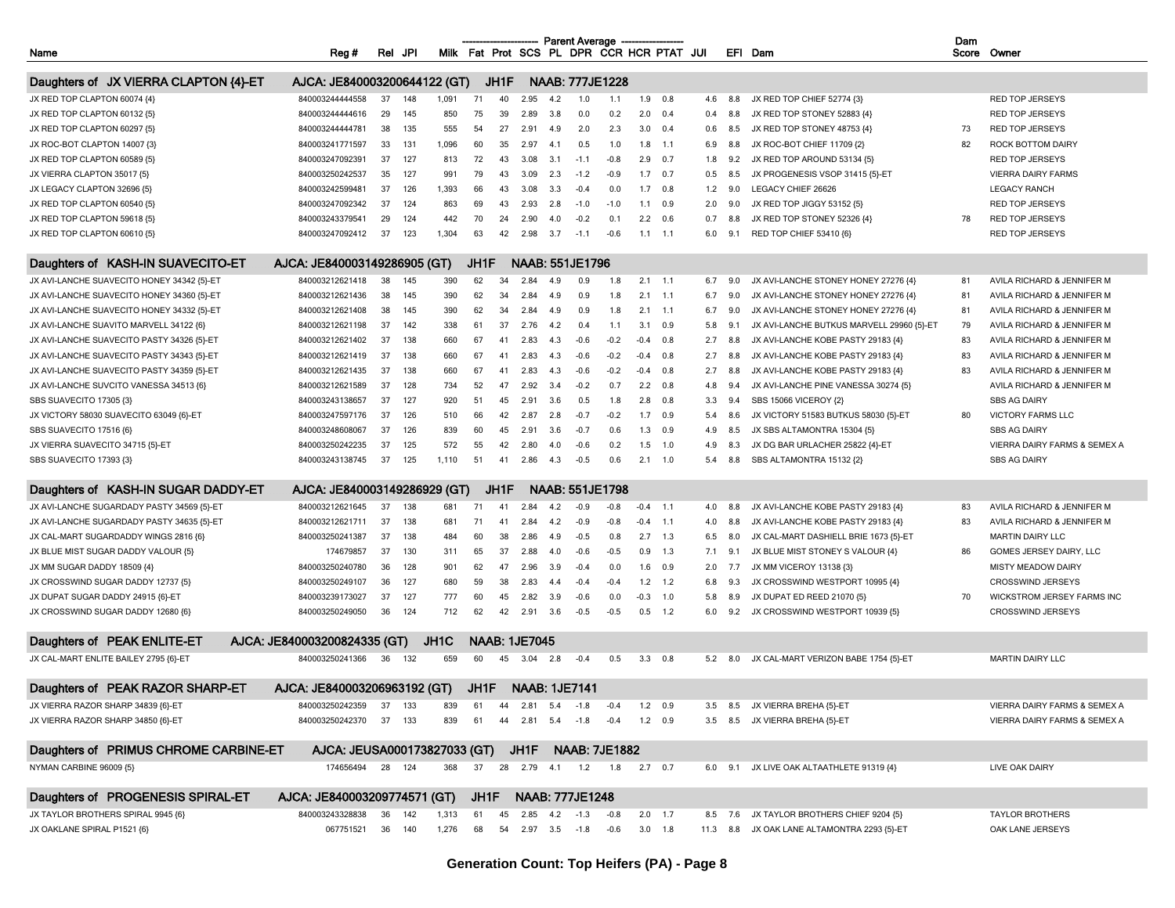|                                            |                              |     |        |       |      |      |                      |        | <b>Parent Average</b>  |                        |                |                                           |     |     |                                             | Dam |                              |
|--------------------------------------------|------------------------------|-----|--------|-------|------|------|----------------------|--------|------------------------|------------------------|----------------|-------------------------------------------|-----|-----|---------------------------------------------|-----|------------------------------|
| Name                                       | Reg#                         | Rel | JPI    |       |      |      |                      |        |                        |                        |                | Milk Fat Prot SCS PL DPR CCR HCR PTAT JUI |     |     | EFI Dam                                     |     | Score Owner                  |
| Daughters of JX VIERRA CLAPTON {4}-ET      | AJCA: JE840003200644122 (GT) |     |        |       |      | JH1F |                      |        |                        | <b>NAAB: 777JE1228</b> |                |                                           |     |     |                                             |     |                              |
| JX RED TOP CLAPTON 60074 {4}               | 840003244444558              | 37  | 148    | 1,091 | 71   | 40   | 2.95                 | 4.2    | 1.0                    | 1.1                    | 1.9            | 0.8                                       | 4.6 | 8.8 | JX RED TOP CHIEF 52774 {3}                  |     | <b>RED TOP JERSEYS</b>       |
| JX RED TOP CLAPTON 60132 {5}               | 840003244444616              | 29  | 145    | 850   | 75   | 39   | 2.89                 | 3.8    | 0.0                    | 0.2                    | 2.0            | 0.4                                       | 0.4 | 8.8 | JX RED TOP STONEY 52883 {4}                 |     | <b>RED TOP JERSEYS</b>       |
| JX RED TOP CLAPTON 60297 {5}               | 840003244444781              | 38  | 135    | 555   | 54   | 27   | 2.91                 | 49     | 2.0                    | 2.3                    |                | $3.0\quad 0.4$                            | 0.6 | 8.5 | JX RED TOP STONEY 48753 {4}                 | 73  | <b>RED TOP JERSEYS</b>       |
| JX ROC-BOT CLAPTON 14007 {3}               | 840003241771597              | 33  | 131    | 1,096 | 60   | 35   | 2.97                 | $\sim$ | 0.5                    | 1.0                    | 1.8            | $-1.1$                                    | 6.9 | 8.8 | JX ROC-BOT CHIEF 11709 {2}                  | 82  | ROCK BOTTOM DAIRY            |
| JX RED TOP CLAPTON 60589 {5}               | 840003247092391              | 37  | 127    | 813   | 72   | 43   | 3.08                 | 3.     | $-1.1$                 | $-0.8$                 | 2.9            | 0.7                                       | 1.8 | 9.2 | JX RED TOP AROUND 53134 {5}                 |     | <b>RED TOP JERSEYS</b>       |
| JX VIERRA CLAPTON 35017 {5}                | 840003250242537              | 35  | 127    | 991   | 79   | 43   | 3.09                 | 2.3    | $-1.2$                 | $-0.9$                 |                | $1.7$ 0.7                                 | 0.5 | 8.5 | JX PROGENESIS VSOP 31415 {5}-ET             |     | <b>VIERRA DAIRY FARMS</b>    |
| JX LEGACY CLAPTON 32696 {5}                | 840003242599481              | 37  | 126    | 1,393 | 66   | 43   | 3.08                 | 3.3    | $-0.4$                 | 0.0                    | 1.7            | 0.8                                       | 1.2 | 9.0 | LEGACY CHIEF 26626                          |     | <b>LEGACY RANCH</b>          |
| JX RED TOP CLAPTON 60540 {5}               | 840003247092342              | 37  | 124    | 863   | 69   | 43   | 2.93                 | 2.8    | $-1.0$                 | $-1.0$                 | 1.1            | 0.9                                       | 2.0 | 9.0 | JX RED TOP JIGGY 53152 {5}                  |     | <b>RED TOP JERSEYS</b>       |
| JX RED TOP CLAPTON 59618 {5}               | 840003243379541              | 29  | 124    | 442   | 70   | 24   | 2.90                 | 4.0    | $-0.2$                 | 0.1                    |                | $2.2\quad 0.6$                            | 0.7 | 8.  | JX RED TOP STONEY 52326 {4}                 | 78  | <b>RED TOP JERSEYS</b>       |
| JX RED TOP CLAPTON 60610 {5}               | 840003247092412              | 37  | 123    | 1,304 | 63   | 42   | 2.98                 | 3.7    | $-1.1$                 | $-0.6$                 |                | $1.1$ 1.1                                 | 6.0 | 9.1 | RED TOP CHIEF 53410 {6}                     |     | RED TOP JERSEYS              |
|                                            |                              |     |        |       |      |      |                      |        |                        |                        |                |                                           |     |     |                                             |     |                              |
| Daughters of KASH-IN SUAVECITO-ET          | AJCA: JE840003149286905 (GT) |     |        |       | JH1F |      |                      |        | NAAB: 551JE1796        |                        |                |                                           |     |     |                                             |     |                              |
| JX AVI-LANCHE SUAVECITO HONEY 34342 {5}-ET | 840003212621418              | 38  | 145    | 390   | 62   | 34   | 2.84                 | -49    | 0.9                    | 1.8                    |                | $2.1$ 1.1                                 | 6.7 | 9.0 | JX AVI-LANCHE STONEY HONEY 27276 {4}        | 81  | AVILA RICHARD & JENNIFER M   |
| JX AVI-LANCHE SUAVECITO HONEY 34360 {5}-ET | 840003212621436              | 38  | 145    | 390   | 62   | 34   | 2.84                 | 4.9    | 0.9                    | 1.8                    |                | $2.1$ 1.1                                 | 6.7 | 9.0 | JX AVI-LANCHE STONEY HONEY 27276 {4}        | 81  | AVILA RICHARD & JENNIFER M   |
| JX AVI-LANCHE SUAVECITO HONEY 34332 {5}-ET | 840003212621408              | 38  | 145    | 390   | 62   | 34   | 2.84                 | 4.9    | 0.9                    | 1.8                    | 2.1            | $-1.1$                                    | 6.7 | 9.0 | JX AVI-LANCHE STONEY HONEY 27276 {4}        | 81  | AVILA RICHARD & JENNIFER M   |
| JX AVI-LANCHE SUAVITO MARVELL 34122 {6}    | 840003212621198              | 37  | 142    | 338   | 61   | 37   | 2.76                 | 4.2    | 0.4                    | 1.1                    | 3.1            | 0.9                                       | 5.8 | 9.1 | JX AVI-LANCHE BUTKUS MARVELL 29960 {5}-ET   | 79  | AVILA RICHARD & JENNIFER M   |
| JX AVI-LANCHE SUAVECITO PASTY 34326 {5}-ET | 840003212621402              | 37  | 138    | 660   | 67   | 41   | 2.83                 | 4.3    | $-0.6$                 | $-0.2$                 | $-0.4$         | 0.8                                       | 2.7 | 8.8 | JX AVI-LANCHE KOBE PASTY 29183 {4}          | 83  | AVILA RICHARD & JENNIFER M   |
| JX AVI-LANCHE SUAVECITO PASTY 34343 {5}-ET | 840003212621419              | 37  | 138    | 660   | 67   | 41   | 2.83                 |        | $-0.6$                 | $-0.2$                 | $-0.4$         | 0.8                                       | 2.7 | 8.  | JX AVI-LANCHE KOBE PASTY 29183 {4}          | 83  | AVILA RICHARD & JENNIFER M   |
| JX AVI-LANCHE SUAVECITO PASTY 34359 {5}-ET | 840003212621435              | 37  | 138    | 660   | 67   | 41   | 2.83                 |        | $-0.6$                 | $-0.2$                 | $-0.4$         | 0.8                                       | 2.7 | 8.8 | JX AVI-LANCHE KOBE PASTY 29183 {4}          | 83  | AVILA RICHARD & JENNIFER M   |
| JX AVI-LANCHE SUVCITO VANESSA 34513 {6}    | 840003212621589              | 37  | 128    | 734   | 52   | 47   | 2.92                 | 3.4    | $-0.2$                 | 0.7                    | 2.2            | 0.8                                       | 4.8 | 9.4 | JX AVI-LANCHE PINE VANESSA 30274 {5}        |     | AVILA RICHARD & JENNIFER M   |
| SBS SUAVECITO 17305 {3}                    | 840003243138657              | 37  | 127    | 920   | 51   | 45   | 2.91                 | 3.6    | 0.5                    | 1.8                    | 2.8            | 0.8                                       | 3.3 | 9.4 | SBS 15066 VICEROY {2}                       |     | <b>SBS AG DAIRY</b>          |
| JX VICTORY 58030 SUAVECITO 63049 {6}-ET    | 840003247597176              | 37  | 126    | 510   | 66   | 42   | 2.87                 | 2.8    | $-0.7$                 | $-0.2$                 | 1.7            | 0.9                                       | 5.4 | 8.6 | JX VICTORY 51583 BUTKUS 58030 {5}-ET        | 80  | <b>VICTORY FARMS LLC</b>     |
| SBS SUAVECITO 17516 {6}                    | 840003248608067              | 37  | 126    | 839   | 60   | 45   | 2.91                 | 3.6    | $-0.7$                 | 0.6                    | 1.3            | 0.9                                       | 4.9 | 8.5 | JX SBS ALTAMONTRA 15304 {5}                 |     | <b>SBS AG DAIRY</b>          |
| JX VIERRA SUAVECITO 34715 {5}-ET           | 840003250242235              | 37  | 125    | 572   | 55   | 42   | 2.80                 | 4 O    | $-0.6$                 | 0.2                    | 1.5            | 1.0                                       | 4.9 | 8.3 | JX DG BAR URLACHER 25822 {4}-ET             |     | VIERRA DAIRY FARMS & SEMEX A |
| SBS SUAVECITO 17393 {3}                    | 840003243138745              | 37  | 125    | 1.110 | 51   | 41   | 2.86                 | 4.3    | $-0.5$                 | 0.6                    | 2.1            | 1.0                                       | 5.4 | 8.8 | SBS ALTAMONTRA 15132 {2}                    |     | <b>SBS AG DAIRY</b>          |
| Daughters of KASH-IN SUGAR DADDY-ET        | AJCA: JE840003149286929 (GT) |     |        |       |      | JH1F |                      |        |                        | <b>NAAB: 551JE1798</b> |                |                                           |     |     |                                             |     |                              |
| JX AVI-LANCHE SUGARDADY PASTY 34569 {5}-ET | 840003212621645              | 37  | 138    | 681   | 71   | 41   | 2.84                 | 42     | $-0.9$                 | $-0.8$                 | $-0.4$         | $-1.1$                                    | 4.0 | 8.8 | JX AVI-LANCHE KOBE PASTY 29183 {4}          | 83  | AVILA RICHARD & JENNIFER M   |
| JX AVI-LANCHE SUGARDADY PASTY 34635 {5}-ET | 840003212621711              | 37  | 138    | 681   | 71   | 41   | 2.84                 |        | $-0.9$                 | $-0.8$                 | $-0.4$         | $-1.1$                                    | 4.0 | 8.8 | JX AVI-LANCHE KOBE PASTY 29183 {4}          | 83  | AVILA RICHARD & JENNIFER M   |
| JX CAL-MART SUGARDADDY WINGS 2816 {6}      | 840003250241387              | 37  | 138    | 484   | 60   | 38   | 2.86                 | 4.9    | $-0.5$                 | 0.8                    |                | $2.7$ 1.3                                 | 6.5 | 8.0 | JX CAL-MART DASHIELL BRIE 1673 {5}-ET       |     | <b>MARTIN DAIRY LLC</b>      |
| JX BLUE MIST SUGAR DADDY VALOUR {5}        | 174679857                    | 37  | 130    | 311   | 65   | 37   | 2.88                 |        | $-0.6$                 | $-0.5$                 | 0.9            | 1.3                                       | 7.1 | 9.  | JX BLUE MIST STONEY S VALOUR {4}            | 86  | GOMES JERSEY DAIRY, LLC      |
| JX MM SUGAR DADDY 18509 {4}                | 840003250240780              | 36  | 128    | 901   | 62   | 47   | 2.96                 | 3.9    | $-0.4$                 | 0.0                    | 1.6            | 0.9                                       | 2.0 | 7.7 | JX MM VICEROY 13138 {3}                     |     | <b>MISTY MEADOW DAIRY</b>    |
| JX CROSSWIND SUGAR DADDY 12737 {5}         | 840003250249107              | 36  | 127    | 680   | 59   | 38   | 2.83                 | 4.4    | $-0.4$                 | $-0.4$                 | 1.2            | 1.2                                       | 6.8 | 9.3 | JX CROSSWIND WESTPORT 10995 {4}             |     | <b>CROSSWIND JERSEYS</b>     |
| JX DUPAT SUGAR DADDY 24915 {6}-ET          | 840003239173027              | 37  | 127    | 777   | 60   | 45   | 2.82                 | 3.9    | $-0.6$                 | 0.0                    | $-0.3$         | 1.0                                       | 5.8 | 8.9 | JX DUPAT ED REED 21070 {5}                  | 70  | WICKSTROM JERSEY FARMS INC   |
| JX CROSSWIND SUGAR DADDY 12680 {6}         | 840003250249050              | 36  | 124    | 712   | 62   | 42   | 2.91                 | 3.6    | $-0.5$                 | $-0.5$                 |                | $0.5$ 1.2                                 | 6.0 | 9.2 | JX CROSSWIND WESTPORT 10939 {5}             |     | CROSSWIND JERSEYS            |
| Daughters of PEAK ENLITE-ET                | AJCA: JE840003200824335 (GT) |     |        | JH1C  |      |      | <b>NAAB: 1JE7045</b> |        |                        |                        |                |                                           |     |     |                                             |     |                              |
| JX CAL-MART ENLITE BAILEY 2795 {6}-ET      | 840003250241366              | 36  | 132    | 659   | 60   | 45   | 3.04                 | 2.8    | $-0.4$                 | 0.5                    | 3.3            | 0.8                                       | 5.2 | 8.0 | JX CAL-MART VERIZON BABE 1754 {5}-ET        |     | <b>MARTIN DAIRY LLC</b>      |
| Daughters of PEAK RAZOR SHARP-ET           | AJCA: JE840003206963192 (GT) |     |        |       | JH1F |      |                      |        | <b>NAAB: 1JE7141</b>   |                        |                |                                           |     |     |                                             |     |                              |
| JX VIERRA RAZOR SHARP 34839 {6}-E1         | 840003250242359              |     | 37 133 | 839   | 61   | 44   | 2.81 5.4             |        | $-1.8$                 | $-0.4$                 |                | $1.2 \quad 0.9$                           | 3.5 | 8.5 | JX VIERRA BREHA {5}-ET                      |     | VIERRA DAIRY FARMS & SEMEX A |
| JX VIERRA RAZOR SHARP 34850 {6}-ET         | 840003250242370 37           |     | 133    | 839   | 61   | 44   | 2.81 5.4             |        | $-1.8$                 | $-0.4$                 |                | $1.2 \quad 0.9$                           | 3.5 | 8.5 | JX VIERRA BREHA {5}-ET                      |     | VIERRA DAIRY FARMS & SEMEX A |
| Daughters of PRIMUS CHROME CARBINE-ET      | AJCA: JEUSA000173827033 (GT) |     |        |       |      |      | JH1F                 |        |                        | <b>NAAB: 7JE1882</b>   |                |                                           |     |     |                                             |     |                              |
| NYMAN CARBINE 96009 {5}                    |                              |     | 124    | 368   |      |      |                      |        |                        |                        |                |                                           |     |     |                                             |     |                              |
|                                            | 174656494                    | 28  |        |       | 37   |      | 28  2.79  4.1  1.2   |        |                        | 1.8                    | $2.7\quad 0.7$ |                                           |     |     | 6.0 9.1 JX LIVE OAK ALTAATHLETE 91319 {4}   |     | LIVE OAK DAIRY               |
| Daughters of PROGENESIS SPIRAL-ET          | AJCA: JE840003209774571 (GT) |     |        |       | JH1F |      |                      |        | <b>NAAB: 777JE1248</b> |                        |                |                                           |     |     |                                             |     |                              |
| JX TAYLOR BROTHERS SPIRAL 9945 {6}         | 840003243328838              | 36  | 142    | 1,313 | 61   | 45   | 2.85                 | 4.2    | $-1.3$                 | $-0.8$                 |                | $2.0$ 1.7                                 | 8.5 | 7.6 | JX TAYLOR BROTHERS CHIEF 9204 {5}           |     | <b>TAYLOR BROTHERS</b>       |
| JX OAKLANE SPIRAL P1521 {6}                | 067751521 36                 |     | 140    | 1,276 | 68   |      | 54  2.97  3.5  -1.8  |        |                        | $-0.6$                 |                | $3.0$ 1.8                                 |     |     | 11.3 8.8 JX OAK LANE ALTAMONTRA 2293 {5}-ET |     | OAK LANE JERSEYS             |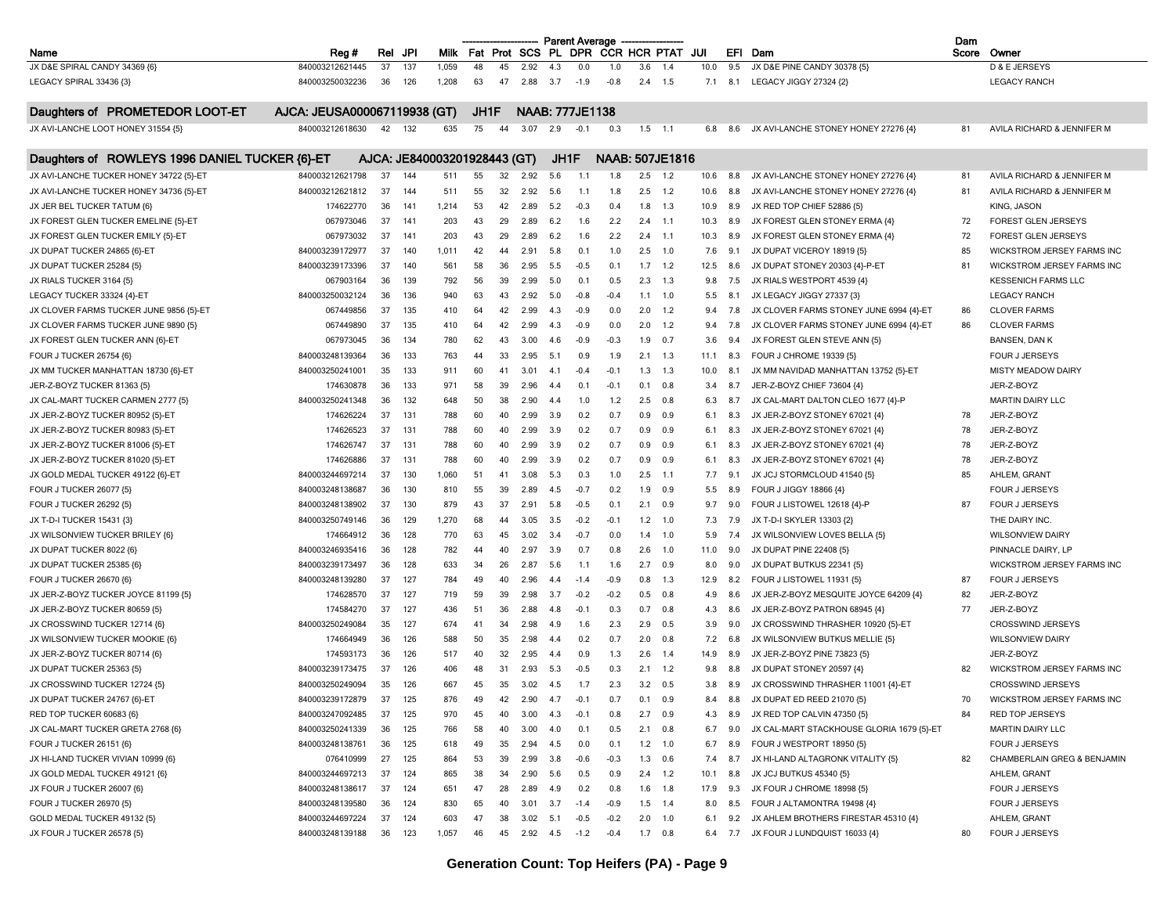|                                                |                              |          |            |                              |      |          |          |     | <b>Parent Average</b>  |        |     |                                  |      |     |                                           | Dam   |                             |
|------------------------------------------------|------------------------------|----------|------------|------------------------------|------|----------|----------|-----|------------------------|--------|-----|----------------------------------|------|-----|-------------------------------------------|-------|-----------------------------|
| Name                                           | Reg#                         | Rel      | JPI        | <b>Milk</b>                  |      |          |          |     |                        |        |     | Fat Prot SCS PL DPR CCR HCR PTAT | JUI  |     | EFI Dam                                   | Score | Owner                       |
| JX D&E SPIRAL CANDY 34369 {6}                  | 840003212621445              | 37       | 137        | 1,059                        | 48   | 45       | 2.92     | 4.3 | 0.0                    | 1.0    | 3.6 | 1.4                              | 10.0 | 9.5 | JX D&E PINE CANDY 30378 {5}               |       | D & E JERSEYS               |
| LEGACY SPIRAL 33436 {3}                        | 840003250032236              | 36       | 126        | 1,208                        | 63   | 47       | 2.88     | 3.7 | $-1.9$                 | $-0.8$ |     | $2.4$ 1.5                        | 7.1  | 8.1 | LEGACY JIGGY 27324 {2}                    |       | <b>LEGACY RANCH</b>         |
| Daughters of PROMETEDOR LOOT-ET                | AJCA: JEUSA000067119938 (GT) |          |            |                              | JH1F |          |          |     | <b>NAAB: 777JE1138</b> |        |     |                                  |      |     |                                           |       |                             |
| JX AVI-LANCHE LOOT HONEY 31554 {5}             | 840003212618630              | 42       | 132        | 635                          | 75   | 44       | 3.07     | 2.9 | $-0.1$                 | 0.3    |     | $1.5$ 1.1                        | 6.8  | 8.6 | JX AVI-LANCHE STONEY HONEY 27276 {4}      | 81    | AVILA RICHARD & JENNIFER M  |
| Daughters of ROWLEYS 1996 DANIEL TUCKER {6}-ET |                              |          |            | AJCA: JE840003201928443 (GT) |      |          |          |     | JH1F                   |        |     | <b>NAAB: 507JE1816</b>           |      |     |                                           |       |                             |
| JX AVI-LANCHE TUCKER HONEY 34722 {5}-ET        | 840003212621798              | 37       | 144        | 511                          | 55   | 32       | 2.92     | 5.6 | 1.1                    | 1.8    |     | $2.5$ 1.2                        | 10.6 | 8.8 | JX AVI-LANCHE STONEY HONEY 27276 {4}      | 81    | AVILA RICHARD & JENNIFER M  |
| JX AVI-LANCHE TUCKER HONEY 34736 {5}-ET        | 840003212621812              | -37      | 144        | 511                          | 55   | 32       | 2.92     | 5.6 | 1.1                    | 1.8    |     | $2.5$ 1.2                        | 10.6 | 8.8 | JX AVI-LANCHE STONEY HONEY 27276 {4}      | 81    | AVILA RICHARD & JENNIFER M  |
| JX JER BEL TUCKER TATUM {6}                    | 174622770                    | 36       | 141        | 1,214                        | 53   | 42       | 2.89     | 5.2 | $-0.3$                 | 0.4    | 1.8 | 1.3                              | 10.9 | 8.9 | JX RED TOP CHIEF 52886 {5}                |       | KING, JASON                 |
| JX FOREST GLEN TUCKER EMELINE {5}-ET           | 067973046                    | 37       | 141        | 203                          | 43   | 29       | 2.89     | 6.2 | 1.6                    | 2.2    | 2.4 | $-1.1$                           | 10.3 | 8.9 | JX FOREST GLEN STONEY ERMA {4}            | 72    | FOREST GLEN JERSEYS         |
| JX FOREST GLEN TUCKER EMILY {5}-ET             | 067973032                    | 37       | 141        | 203                          | 43   | 29       | 2.89     | 6.2 | 1.6                    | 2.2    |     | $2.4$ 1.1                        | 10.3 | 8.9 | JX FOREST GLEN STONEY ERMA {4}            | 72    | FOREST GLEN JERSEYS         |
| JX DUPAT TUCKER 24865 {6}-ET                   | 840003239172977              | 37       | 140        | 1,011                        | 42   | 44       | 2.91     | 5.8 | 0.1                    | 1.0    | 2.5 | 1.0                              | 7.6  | 9.1 | JX DUPAT VICEROY 18919 {5}                | 85    | WICKSTROM JERSEY FARMS INC  |
| JX DUPAT TUCKER 25284 {5}                      | 840003239173396              | 37       | 140        | 561                          | 58   | 36       | 2.95     | 5.5 | $-0.5$                 | 0.1    | 1.7 | 1.2                              | 12.5 | 8.6 | JX DUPAT STONEY 20303 {4}-P-ET            | 81    | WICKSTROM JERSEY FARMS INC  |
| JX RIALS TUCKER 3164 {5}                       | 067903164                    | 36       | 139        | 792                          | 56   | 39       | 2.99     | 5.0 | 0.1                    | 0.5    |     | $2.3$ 1.3                        | 9.8  | 7.5 | JX RIALS WESTPORT 4539 {4}                |       | <b>KESSENICH FARMS LLC</b>  |
| LEGACY TUCKER 33324 {4}-ET                     | 840003250032124              | 36       | 136        | 940                          | 63   | 43       | 2.92     | 5.0 | $-0.8$                 | $-0.4$ |     | $1.1 \quad 1.0$                  | 5.5  | 8.1 | JX LEGACY JIGGY 27337 {3}                 |       | <b>LEGACY RANCH</b>         |
| JX CLOVER FARMS TUCKER JUNE 9856 {5}-ET        | 067449856                    | 37       | 135        | 410                          | 64   | 42       | 2.99     | 4.3 | $-0.9$                 | 0.0    | 2.0 | 1.2                              | 9.4  | 7.8 | JX CLOVER FARMS STONEY JUNE 6994 {4}-ET   | 86    | <b>CLOVER FARMS</b>         |
|                                                |                              |          |            |                              |      |          |          |     |                        |        |     |                                  |      |     |                                           |       | <b>CLOVER FARMS</b>         |
| JX CLOVER FARMS TUCKER JUNE 9890 {5}           | 067449890<br>067973045       | 37<br>36 | 135<br>134 | 410                          | 64   | 42<br>43 | 2.99     | 4.3 | $-0.9$<br>$-0.9$       | 0.0    | 2.0 | 1.2<br>0.7                       | 9.4  | 7.8 | JX CLOVER FARMS STONEY JUNE 6994 {4}-ET   | 86    | <b>BANSEN, DAN K</b>        |
| JX FOREST GLEN TUCKER ANN {6}-ET               |                              |          |            | 780                          | 62   |          | 3.00     | 4.6 |                        | $-0.3$ | 1.9 |                                  | 3.6  | 9.4 | JX FOREST GLEN STEVE ANN {5}              |       |                             |
| FOUR J TUCKER 26754 {6}                        | 840003248139364              | 36       | 133        | 763                          | 44   | 33       | 2.95     | 5.1 | 0.9                    | 1.9    | 2.1 | 1.3                              | 11.1 | 8.3 | FOUR J CHROME 19339 {5}                   |       | FOUR J JERSEYS              |
| JX MM TUCKER MANHATTAN 18730 {6}-ET            | 840003250241001              | 35       | 133        | 911                          | 60   | 41       | 3.01     | 4.1 | $-0.4$                 | $-0.1$ | 1.3 | 1.3                              | 10.0 | 8.1 | JX MM NAVIDAD MANHATTAN 13752 {5}-ET      |       | <b>MISTY MEADOW DAIRY</b>   |
| JER-Z-BOYZ TUCKER 81363 {5}                    | 174630878                    | 36       | 133        | 971                          | 58   | 39       | 2.96     | 4.4 | 0.1                    | $-0.1$ | 0.1 | 0.8                              | 3.4  | 8.7 | JER-Z-BOYZ CHIEF 73604 {4}                |       | JER-Z-BOYZ                  |
| JX CAL-MART TUCKER CARMEN 2777 {5}             | 840003250241348              | 36       | 132        | 648                          | 50   | 38       | 2.90     | 4.4 | 1.0                    | 1.2    | 2.5 | 0.8                              | 6.3  | 8.7 | JX CAL-MART DALTON CLEO 1677 {4}-P        |       | <b>MARTIN DAIRY LLC</b>     |
| JX JER-Z-BOYZ TUCKER 80952 {5}-ET              | 174626224                    | 37       | 131        | 788                          | 60   | 40       | 2.99     | 3.9 | 0.2                    | 0.7    | 0.9 | 0.9                              | 6.1  | 8.3 | JX JER-Z-BOYZ STONEY 67021 {4}            | 78    | JER-Z-BOYZ                  |
| JX JER-Z-BOYZ TUCKER 80983 {5}-ET              | 174626523                    | 37       | 131        | 788                          | 60   | 40       | 2.99     | 3.9 | 0.2                    | 0.7    | 0.9 | 0.9                              | 6.1  | 8.3 | JX JER-Z-BOYZ STONEY 67021 {4}            | 78    | JER-Z-BOYZ                  |
| JX JER-Z-BOYZ TUCKER 81006 {5}-ET              | 174626747                    | 37       | 131        | 788                          | 60   | 40       | 2.99     | 3.9 | 0.2                    | 0.7    | 0.9 | 0.9                              | 6.1  | 8.3 | JX JER-Z-BOYZ STONEY 67021 {4}            | 78    | JER-Z-BOYZ                  |
| JX JER-Z-BOYZ TUCKER 81020 {5}-ET              | 174626886                    | 37       | 131        | 788                          | 60   | 40       | 2.99     | 3.9 | 0.2                    | 0.7    | 0.9 | 0.9                              | 6.1  | 8.3 | JX JER-Z-BOYZ STONEY 67021 {4}            | 78    | JER-Z-BOYZ                  |
| JX GOLD MEDAL TUCKER 49122 {6}-ET              | 840003244697214              | 37       | 130        | 1,060                        | 51   | 41       | 3.08     | 5.3 | 0.3                    | 1.0    | 2.5 | $-1.1$                           | 7.7  | 9.1 | JX JCJ STORMCLOUD 41540 {5}               | 85    | AHLEM, GRANT                |
| FOUR J TUCKER 26077 {5}                        | 840003248138687              | 36       | 130        | 810                          | 55   | 39       | 2.89     | 4.5 | $-0.7$                 | 0.2    | 1.9 | 0.9                              | 5.5  | 8.9 | FOUR J JIGGY 18866 {4}                    |       | FOUR J JERSEYS              |
| <b>FOUR J TUCKER 26292 {5}</b>                 | 840003248138902              | 37       | 130        | 879                          | 43   | 37       | 2.91     | 5.8 | $-0.5$                 | 0.1    | 2.1 | 0.9                              | 9.7  | 9.0 | FOUR J LISTOWEL 12618 {4}-P               | 87    | FOUR J JERSEYS              |
| JX T-D-I TUCKER 15431 {3}                      | 840003250749146              | 36       | 129        | 1,270                        | 68   | 44       | 3.05     | 3.5 | $-0.2$                 | $-0.1$ |     | $1.2$ 1.0                        | 7.3  | 7.9 | JX T-D-I SKYLER 13303 {2}                 |       | THE DAIRY INC.              |
| JX WILSONVIEW TUCKER BRILEY {6}                | 174664912                    | 36       | 128        | 770                          | 63   | 45       | 3.02     | 3.4 | $-0.7$                 | 0.0    | 1.4 | 1.0                              | 5.9  | 7.4 | JX WILSONVIEW LOVES BELLA {5}             |       | <b>WILSONVIEW DAIRY</b>     |
| JX DUPAT TUCKER 8022 {6}                       | 840003246935416              | 36       | 128        | 782                          | 44   | 40       | 2.97     | 3.9 | 0.7                    | 0.8    | 2.6 | 1.0                              | 11.0 | 9.0 | JX DUPAT PINE 22408 {5}                   |       | PINNACLE DAIRY, LP          |
| JX DUPAT TUCKER 25385 {6}                      | 840003239173497              | 36       | 128        | 633                          | 34   | 26       | 2.87     | 5.6 | 1.1                    | 1.6    |     | $2.7$ 0.9                        | 8.0  | 9.0 | JX DUPAT BUTKUS 22341 {5}                 |       | WICKSTROM JERSEY FARMS INC  |
| FOUR J TUCKER 26670 {6}                        | 840003248139280              | 37       | 127        | 784                          | 49   | 40       | 2.96     | 4.4 | $-1.4$                 | $-0.9$ | 0.8 | 1.3                              | 12.9 | 8.2 | FOUR J LISTOWEL 11931 {5}                 | 87    | FOUR J JERSEYS              |
| JX JER-Z-BOYZ TUCKER JOYCE 81199 {5}           | 174628570                    | 37       | 127        | 719                          | 59   | 39       | 2.98     | 3.7 | $-0.2$                 | $-0.2$ | 0.5 | 0.8                              | 4.9  | 8.6 | JX JER-Z-BOYZ MESQUITE JOYCE 64209 {4}    | 82    | JER-Z-BOYZ                  |
| JX JER-Z-BOYZ TUCKER 80659 {5}                 | 174584270                    | 37       | 127        | 436                          | 51   | 36       | 2.88     | 4.8 | $-0.1$                 | 0.3    |     | $0.7\quad 0.8$                   | 4.3  | 8.6 | JX JER-Z-BOYZ PATRON 68945 {4}            | 77    | JER-Z-BOYZ                  |
| JX CROSSWIND TUCKER 12714 {6}                  | 840003250249084              | 35       | 127        | 674                          | 41   | 34       | 2.98     | 4.9 | 1.6                    | 2.3    | 2.9 | 0.5                              | 3.9  | 9.0 | JX CROSSWIND THRASHER 10920 {5}-ET        |       | CROSSWIND JERSEYS           |
| JX WILSONVIEW TUCKER MOOKIE {6}                | 174664949                    | 36       | 126        | 588                          | 50   | 35       | 2.98     | 4.4 | 0.2                    | 0.7    | 2.0 | 0.8                              | 7.2  | 6.8 | JX WILSONVIEW BUTKUS MELLIE {5}           |       | <b>WILSONVIEW DAIRY</b>     |
|                                                |                              |          |            |                              |      |          |          |     |                        |        |     |                                  |      |     |                                           |       |                             |
| JX JER-Z-BOYZ TUCKER 80714 {6}                 | 174593173                    | 36       | 126        | 517                          | 40   | 32       | 2.95     | 4.4 | 0.9                    | 1.3    | 2.6 | 1.4                              | 14.9 | 8.9 | JX JER-Z-BOYZ PINE 73823 {5}              |       | JER-Z-BOYZ                  |
| JX DUPAT TUCKER 25363 {5}                      | 840003239173475              | 37       | 126        | 406                          | 48   | 31       | 2.93     | 5.3 | $-0.5$                 | 0.3    | 2.1 | 1.2                              | 9.8  | 8.8 | JX DUPAT STONEY 20597 {4}                 | 82    | WICKSTROM JERSEY FARMS INC  |
| JX CROSSWIND TUCKER 12724 {5}                  | 840003250249094              | 35       | 126        | 667                          | 45   | 35       | 3.02     | 4.5 | 1.7                    | 2.3    | 3.2 | 0.5                              | 3.8  | 8.9 | JX CROSSWIND THRASHER 11001 {4}-ET        |       | <b>CROSSWIND JERSEYS</b>    |
| JX DUPAT TUCKER 24767 {6}-ET                   | 840003239172879              | 37       | 125        | 876                          | 49   | 42       | 2.90     | 4.7 | $-0.1$                 | 0.7    | 0.1 | 0.9                              | 8.4  | 8.8 | JX DUPAT ED REED 21070 {5}                | 70    | WICKSTROM JERSEY FARMS INC  |
| RED TOP TUCKER 60683 {6}                       | 840003247092485              | 37       | 125        | 970                          | 45   | 40       | 3.00     | 4.3 | $-0.1$                 | 0.8    |     | $2.7$ 0.9                        | 4.3  | 8.9 | JX RED TOP CALVIN 47350 {5}               | 84    | RED TOP JERSEYS             |
| JX CAL-MART TUCKER GRETA 2768 {6}              | 840003250241339              | 36       | 125        | 766                          | 58   | 40       | 3.00     | 4.0 | 0.1                    | 0.5    |     | $2.1 \t 0.8$                     | 6.7  | 9.0 | JX CAL-MART STACKHOUSE GLORIA 1679 {5}-ET |       | <b>MARTIN DAIRY LLC</b>     |
| FOUR J TUCKER 26151 {6}                        | 840003248138761              | 36       | 125        | 618                          | 49   | 35       | 2.94     | 4.5 | 0.0                    | 0.1    |     | $1.2$ 1.0                        | 6.7  | 8.9 | FOUR J WESTPORT 18950 {5}                 |       | FOUR J JERSEYS              |
| JX HI-LAND TUCKER VIVIAN 10999 {6}             | 076410999                    | 27       | 125        | 864                          | 53   | 39       | 2.99     | 3.8 | $-0.6$                 | $-0.3$ |     | $1.3 \quad 0.6$                  | 7.4  | 8.7 | JX HI-LAND ALTAGRONK VITALITY {5}         | 82    | CHAMBERLAIN GREG & BENJAMIN |
| JX GOLD MEDAL TUCKER 49121 {6}                 | 840003244697213              | 37       | 124        | 865                          | 38   | 34       | 2.90     | 5.6 | 0.5                    | 0.9    |     | $2.4$ 1.2                        | 10.1 | 8.8 | JX JCJ BUTKUS 45340 {5}                   |       | AHLEM, GRANT                |
| JX FOUR J TUCKER 26007 {6}                     | 840003248138617              | 37       | 124        | 651                          | 47   | 28       | 2.89     | 4.9 | 0.2                    | 0.8    |     | $1.6$ 1.8                        | 17.9 | 9.3 | JX FOUR J CHROME 18998 {5}                |       | FOUR J JERSEYS              |
| <b>FOUR J TUCKER 26970 {5}</b>                 | 840003248139580              | 36       | 124        | 830                          | 65   | 40       | 3.01     | 3.7 | $-1.4$                 | -0.9   |     | $1.5$ 1.4                        | 8.0  | 8.5 | FOUR J ALTAMONTRA 19498 {4}               |       | FOUR J JERSEYS              |
| GOLD MEDAL TUCKER 49132 {5}                    | 840003244697224              | 37       | 124        | 603                          | 47   | 38       | 3.02     | 5.1 | $-0.5$                 | $-0.2$ |     | $2.0$ 1.0                        | 6.1  | 9.2 | JX AHLEM BROTHERS FIRESTAR 45310 {4}      |       | AHLEM, GRANT                |
| JX FOUR J TUCKER 26578 {5}                     | 840003248139188              | 36       | 123        | 1,057                        | 46   | 45       | 2.92 4.5 |     | $-1.2$                 | $-0.4$ |     | $1.7\quad 0.8$                   | 6.4  | 7.7 | JX FOUR J LUNDQUIST 16033 {4}             | 80    | FOUR J JERSEYS              |
|                                                |                              |          |            |                              |      |          |          |     |                        |        |     |                                  |      |     |                                           |       |                             |